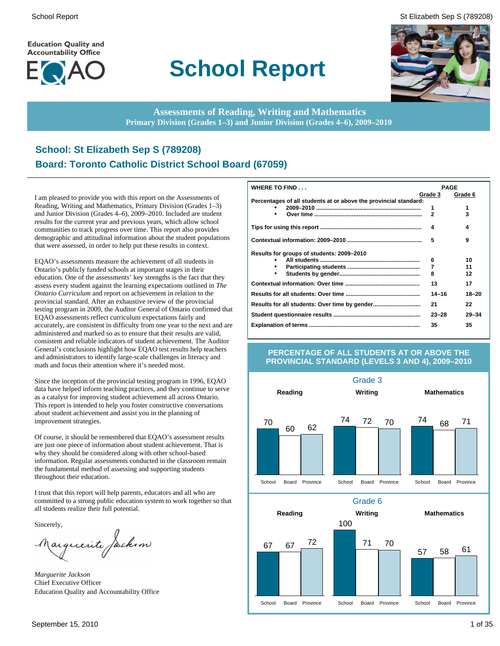**Education Quality and Accountability Office** 



# **School Report**

School Report St Elizabeth Sep S (789208)



**Assessments of Reading, Writing and Mathematics Primary Division (Grades 1–3) and Junior Division (Grades 4–6), 2009–2010**

## **School: St Elizabeth Sep S (789208) Board: Toronto Catholic District School Board (67059)**

I am pleased to provide you with this report on the Assessments of Reading, Writing and Mathematics, Primary Division (Grades 1–3) and Junior Division (Grades 4–6), 2009–2010. Included are student results for the current year and previous years, which allow school communities to track progress over time. This report also provides demographic and attitudinal information about the student populations that were assessed, in order to help put these results in context.

EQAO's assessments measure the achievement of all students in Ontario's publicly funded schools at important stages in their education. One of the assessments' key strengths is the fact that they assess every student against the learning expectations outlined in *The Ontario Curriculum* and report on achievement in relation to the provincial standard. After an exhaustive review of the provincial testing program in 2009, the Auditor General of Ontario confirmed that EQAO assessments reflect curriculum expectations fairly and accurately, are consistent in difficulty from one year to the next and are administered and marked so as to ensure that their results are valid, consistent and reliable indicators of student achievement. The Auditor General's conclusions highlight how EQAO test results help teachers and administrators to identify large-scale challenges in literacy and math and focus their attention where it's needed most.

Since the inception of the provincial testing program in 1996, EQAO data have helped inform teaching practices, and they continue to serve as a catalyst for improving student achievement all across Ontario. This report is intended to help you foster constructive conversations about student achievement and assist you in the planning of improvement strategies.

Of course, it should be remembered that EQAO's assessment results are just one piece of information about student achievement. That is why they should be considered along with other school-based information. Regular assessments conducted in the classroom remain the fundamental method of assessing and supporting students throughout their education.

I trust that this report will help parents, educators and all who are committed to a strong public education system to work together so that all students realize their full potential.

Sincerely,

Marguerite Jackson

*Marguerite Jackson* Chief Executive Officer Education Quality and Accountability Office

| WHERE TO FIND                                                    |                | <b>PAGE</b> |
|------------------------------------------------------------------|----------------|-------------|
|                                                                  | Grade 3        | Grade 6     |
| Percentages of all students at or above the provincial standard: |                |             |
|                                                                  | 1              | 1           |
|                                                                  | $\overline{2}$ | 3           |
|                                                                  | 4              | 4           |
|                                                                  | 5              | 9           |
| Results for groups of students: 2009–2010                        |                |             |
|                                                                  | 6              | 10          |
|                                                                  | 7              | 11          |
|                                                                  | 8              | 12          |
|                                                                  | 13             | 17          |
|                                                                  | $14 - 16$      | $18 - 20$   |
|                                                                  | 21             | 22          |
|                                                                  | $23 - 28$      | $29 - 34$   |
|                                                                  | 35             | 35          |

### **PERCENTAGE OF ALL STUDENTS AT OR ABOVE THE PROVINCIAL STANDARD (LEVELS 3 AND 4), 2009–2010**

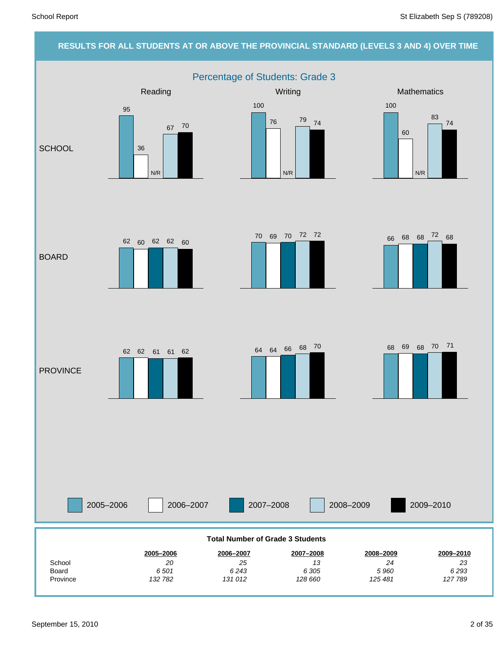## **RESULTS FOR ALL STUDENTS AT OR ABOVE THE PROVINCIAL STANDARD (LEVELS 3 AND 4) OVER TIME** Percentage of Students: Grade 3 2005–2006 2006–2007 2007–2008 2008–2009 Reading Network Controllery Mathematics Mathematics Mathematics Mathematics **SCHOOL** BOARD **PROVINCE** 2009–2010 *23* **2009–2010** *24* **2008–2009** *13* **2007–2008** *25* **2006–2007** *20* **2005–2006** School **Total Number of Grade 3 Students** 95 36 67 N/R 70 100 76 79 N/R 74 100 60 83 N/R 74 70 69 70 72 72<br>66 68 68 <sup>72</sup> 68 62 60 62 62 60  $62$   $61$   $61$   $62$   $64$   $64$   $66$   $68$   $70$   $68$   $69$   $68$   $70$   $71$

Province Board

*127 789 6 293*

*125 481 5 960*

*128 660 6 305*

*131 012 6 243*

*132 782 6 501*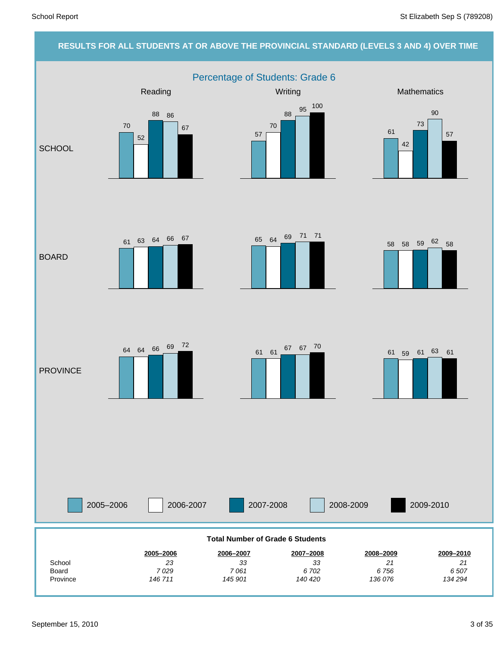# **RESULTS FOR ALL STUDENTS AT OR ABOVE THE PROVINCIAL STANDARD (LEVELS 3 AND 4) OVER TIME** Percentage of Students: Grade 6



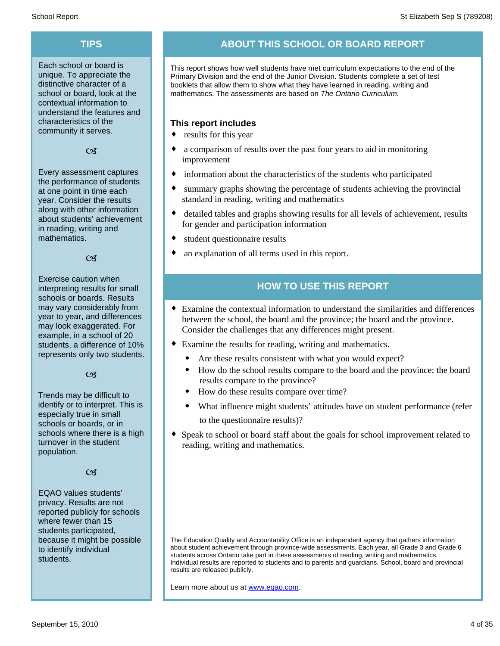Each school or board is unique. To appreciate the distinctive character of a school or board, look at the contextual information to understand the features and characteristics of the community it serves.

### $C<sub>3</sub>$

Every assessment captures the performance of students at one point in time each year. Consider the results along with other information about students' achievement in reading, writing and mathematics.

### $\alpha$

Exercise caution when interpreting results for small schools or boards. Results may vary considerably from year to year, and differences may look exaggerated. For example, in a school of 20 students, a difference of 10% represents only two students.

### $C<sub>3</sub>$

Trends may be difficult to identify or to interpret. This is especially true in small schools or boards, or in schools where there is a high turnover in the student population.

### $C<sub>3</sub>$

EQAO values students' privacy. Results are not reported publicly for schools where fewer than 15 students participated, because it might be possible to identify individual students.

## **TIPS ABOUT THIS SCHOOL OR BOARD REPORT**

This report shows how well students have met curriculum expectations to the end of the Primary Division and the end of the Junior Division. Students complete a set of test booklets that allow them to show what they have learned in reading, writing and mathematics. The assessments are based on *The Ontario Curriculum.*

### **This report includes**

- $\bullet$  results for this year
- a comparison of results over the past four years to aid in monitoring improvement
- $\bullet$  information about the characteristics of the students who participated
- summary graphs showing the percentage of students achieving the provincial standard in reading, writing and mathematics
- detailed tables and graphs showing results for all levels of achievement, results for gender and participation information
- $\bullet$  student questionnaire results
- an explanation of all terms used in this report.

## **HOW TO USE THIS REPORT**

- ¨ Examine the contextual information to understand the similarities and differences between the school, the board and the province; the board and the province. Consider the challenges that any differences might present.
- Examine the results for reading, writing and mathematics.
	- Are these results consistent with what you would expect?
	- · How do the school results compare to the board and the province; the board results compare to the province?
	- · How do these results compare over time?
	- · What influence might students' attitudes have on student performance (refer to the questionnaire results)?
- Speak to school or board staff about the goals for school improvement related to reading, writing and mathematics.

The Education Quality and Accountability Office is an independent agency that gathers information about student achievement through province-wide assessments. Each year, all Grade 3 and Grade 6 students across Ontario take part in these assessments of reading, writing and mathematics. Individual results are reported to students and to parents and guardians. School, board and provincial results are released publicly.

Learn more about us at www.eqao.com.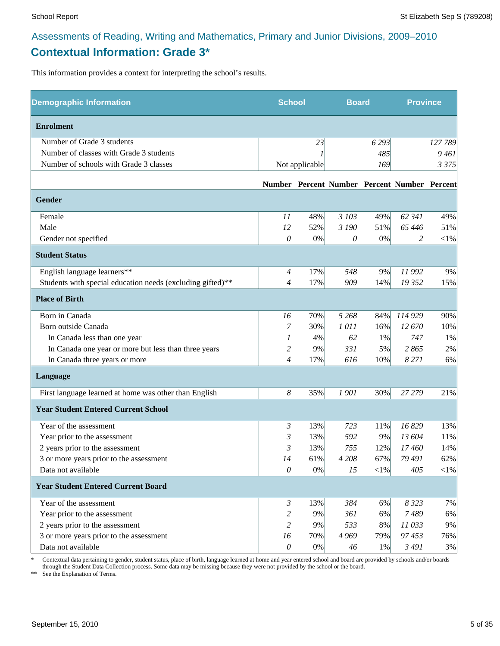## **Contextual Information: Grade 3\***

This information provides a context for interpreting the school's results.

| <b>Demographic Information</b>                             | <b>School</b>  |                | <b>Board</b> |        | <b>Province</b>                              |            |
|------------------------------------------------------------|----------------|----------------|--------------|--------|----------------------------------------------|------------|
| <b>Enrolment</b>                                           |                |                |              |        |                                              |            |
| Number of Grade 3 students                                 |                | 23             |              | 6293   |                                              | 127789     |
| Number of classes with Grade 3 students                    |                |                |              | 485    |                                              | 9461       |
| Number of schools with Grade 3 classes                     |                | Not applicable |              | 169    |                                              | 3 3 7 5    |
|                                                            |                |                |              |        | Number Percent Number Percent Number Percent |            |
| Gender                                                     |                |                |              |        |                                              |            |
| Female                                                     | 11             | 48%            | 3 103        | 49%    | 62 341                                       | 49%        |
| Male                                                       | 12             | 52%            | 3 190        | 51%    | 65 4 46                                      | 51%        |
| Gender not specified                                       | 0              | $0\%$          | 0            | 0%     | 2                                            | ${<}1\%$   |
| <b>Student Status</b>                                      |                |                |              |        |                                              |            |
| English language learners**                                | $\overline{4}$ | 17%            | 548          | 9%     | 11 992                                       | 9%         |
| Students with special education needs (excluding gifted)** | 4              | 17%            | 909          | 14%    | 19 352                                       | 15%        |
| <b>Place of Birth</b>                                      |                |                |              |        |                                              |            |
| Born in Canada                                             | 16             | 70%            | 5 2 6 8      | 84%    | 114 929                                      | 90%        |
| Born outside Canada                                        | 7              | 30%            | 1011         | 16%    | 12 670                                       | 10%        |
| In Canada less than one year                               | 1              | 4%             | 62           | 1%     | 747                                          | 1%         |
| In Canada one year or more but less than three years       | 2              | 9%             | 331          | 5%     | 2865                                         | 2%         |
| In Canada three years or more                              | $\overline{4}$ | 17%            | 616          | 10%    | 8 2 7 1                                      | 6%         |
| Language                                                   |                |                |              |        |                                              |            |
| First language learned at home was other than English      | 8              | 35%            | 1901         | 30%    | 27 279                                       | 21%        |
| <b>Year Student Entered Current School</b>                 |                |                |              |        |                                              |            |
| Year of the assessment                                     | 3              | 13%            | 723          | 11%    | 16829                                        | 13%        |
| Year prior to the assessment                               | 3              | 13%            | 592          | 9%     | 13 604                                       | $11\%$     |
| 2 years prior to the assessment                            | 3              | 13%            | 755          | 12%    | 17460                                        | 14%        |
| 3 or more years prior to the assessment                    | 14             | 61%            | 4 2 0 8      | 67%    | 79 491                                       | 62%        |
| Data not available                                         | $\mathcal O$   | $0\%$          | 15           | $<$ 1% | 405                                          | $<\!\!1\%$ |
| <b>Year Student Entered Current Board</b>                  |                |                |              |        |                                              |            |
| Year of the assessment                                     | $\mathfrak{Z}$ | 13%            | 384          | 6%     | 8 3 2 3                                      | 7%         |
| Year prior to the assessment                               | 2              | 9%             | 361          | 6%     | 7489                                         | 6%         |
| 2 years prior to the assessment                            | $\overline{c}$ | 9%             | 533          | $8\%$  | 11033                                        | 9%         |
| 3 or more years prior to the assessment                    | 16             | 70%            | 4 9 6 9      | 79%    | 97453                                        | 76%        |
| Data not available                                         | $\theta$       | $0\%$          | 46           | $1\%$  | 3 4 9 1                                      | 3%         |

\* Contextual data pertaining to gender, student status, place of birth, language learned at home and year entered school and board are provided by schools and/or boards through the Student Data Collection process. Some data may be missing because they were not provided by the school or the board.

\*\* See the Explanation of Terms.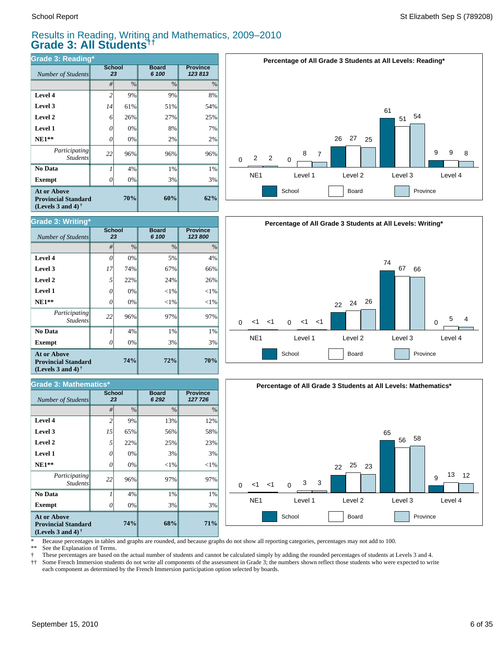### Results in Reading, Writing and Mathematics, 2009–2010 **Grade 3: All Students††**

| <b>Grade 3: Reading*</b>                                                                                    |                     |               |                       |                           |  |  |  |  |  |
|-------------------------------------------------------------------------------------------------------------|---------------------|---------------|-----------------------|---------------------------|--|--|--|--|--|
| Number of Students                                                                                          | <b>School</b><br>23 |               | <b>Board</b><br>6 100 | <b>Province</b><br>123813 |  |  |  |  |  |
|                                                                                                             | #                   | $\frac{0}{0}$ | $\%$                  | $\%$                      |  |  |  |  |  |
| Level 4                                                                                                     | 2                   | 9%            | 9%                    | 8%                        |  |  |  |  |  |
| Level 3                                                                                                     | 14                  | 61%           | 51%                   | 54%                       |  |  |  |  |  |
| Level 2                                                                                                     | 6                   | 26%           | 27%                   | 25%                       |  |  |  |  |  |
| Level 1                                                                                                     | 0                   | 0%            | 8%                    | 7%                        |  |  |  |  |  |
| $NE1**$                                                                                                     | 0                   | 0%            | 2%                    | 2%                        |  |  |  |  |  |
| Participating<br><b>Students</b>                                                                            | 22                  | 96%           | 96%                   | 96%                       |  |  |  |  |  |
| No Data                                                                                                     |                     | 4%            | 1%                    | 1%                        |  |  |  |  |  |
| <b>Exempt</b>                                                                                               |                     | 0%            | 3%                    | 3%                        |  |  |  |  |  |
| <b>At or Above</b><br>70%<br><b>Provincial Standard</b><br>(Levels 3 and 4) <sup><math>\dagger</math></sup> |                     |               | 60%                   | 62%                       |  |  |  |  |  |







\* Because percentages in tables and graphs are rounded, and because graphs do not show all reporting categories, percentages may not add to 100.

See the Explanation of Terms.

† These percentages are based on the actual number of students and cannot be calculated simply by adding the rounded percentages of students at Levels 3 and 4.

Some French Immersion students do not write all components of the assessment in Grade 3; the numbers shown reflect those students who were expected to write each component as determined by the French Immersion participation option selected by boards.

| <b>Grade 3: Writing*</b>                         | <b>School</b> |               | <b>Board</b>  | <b>Province</b> |
|--------------------------------------------------|---------------|---------------|---------------|-----------------|
| Number of Students                               | 23            |               | 6 100         | 123 800         |
|                                                  | #             | $\frac{0}{0}$ | $\frac{0}{0}$ | $\frac{0}{0}$   |
| Level 4                                          | 0             | 0%            | 5%            | 4%              |
| Level 3                                          | 17            | 74%           | 67%           | 66%             |
| Level 2                                          | 5             | 22%           | 24%           | 26%             |
| <b>Level 1</b>                                   | 0             | 0%            | $<$ 1%        | $< 1\%$         |
| $NE1**$                                          | 0             | 0%            | $<$ 1%        | $<$ 1%          |
| <i>Participating</i><br><b>Students</b>          | 22            | 96%           | 97%           | 97%             |
| No Data                                          |               | 4%            | 1%            | 1%              |
| Exempt                                           | O             | 0%            | 3%            | 3%              |
| <b>At or Above</b><br><b>Provincial Standard</b> |               | 74%           | 72%           | 70%             |

**(Levels 3 and 4) †**

| <b>Grade 3: Mathematics*</b>                                                   |                     |               |                         |                            |  |  |  |  |  |
|--------------------------------------------------------------------------------|---------------------|---------------|-------------------------|----------------------------|--|--|--|--|--|
| Number of Students                                                             | <b>School</b><br>23 |               | <b>Board</b><br>6 2 9 2 | <b>Province</b><br>127 726 |  |  |  |  |  |
|                                                                                | #                   | $\frac{0}{0}$ | $\frac{0}{0}$           | $\%$                       |  |  |  |  |  |
| Level 4                                                                        | $\overline{c}$      | 9%            | 13%                     | 12%                        |  |  |  |  |  |
| Level 3                                                                        | 15                  | 65%           | 56%                     | 58%                        |  |  |  |  |  |
| Level 2                                                                        | 5                   | 22%           | 25%                     | 23%                        |  |  |  |  |  |
| Level 1                                                                        | 0                   | 0%            | 3%                      | 3%                         |  |  |  |  |  |
| $NE1**$                                                                        | 0                   | 0%            | $<$ 1%                  | $<$ 1%                     |  |  |  |  |  |
| Participating<br><b>Students</b>                                               | 22                  | 96%           | 97%                     | 97%                        |  |  |  |  |  |
| No Data                                                                        | 1                   | 4%            | 1%                      | 1%                         |  |  |  |  |  |
| <b>Exempt</b>                                                                  | 0                   | 0%            | 3%                      | 3%                         |  |  |  |  |  |
| <b>At or Above</b><br><b>Provincial Standard</b><br>(Levels 3 and 4) $\dagger$ |                     | 74%           | 68%                     | 71%                        |  |  |  |  |  |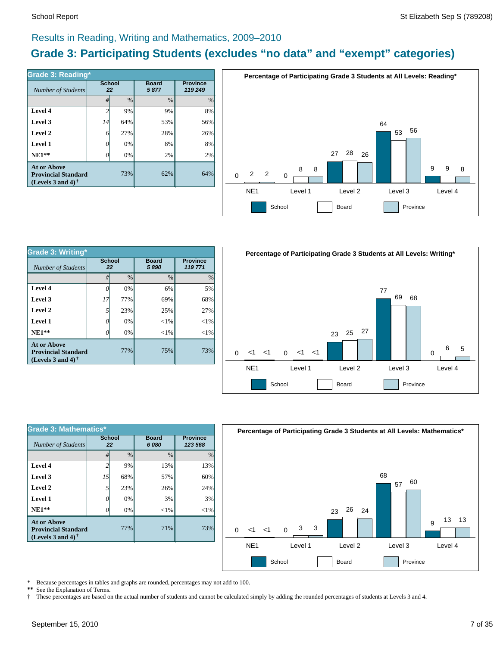### Results in Reading, Writing and Mathematics, 2009–2010

## **Grade 3: Participating Students (excludes "no data" and "exempt" categories)**

| Number of Students                                                             | <b>School</b><br>22 |      | <b>Board</b><br>5877 | <b>Province</b><br>119 249 |  |
|--------------------------------------------------------------------------------|---------------------|------|----------------------|----------------------------|--|
|                                                                                | #                   | $\%$ | $\frac{0}{0}$        | %                          |  |
| Level 4                                                                        | $\overline{c}$      | 9%   | 9%                   | 8%                         |  |
| Level 3                                                                        | 14                  | 64%  | 53%                  | 56%                        |  |
| Level 2                                                                        | 6                   | 27%  | 28%                  | 26%                        |  |
| Level 1                                                                        | 0                   | 0%   | 8%                   | 8%                         |  |
| $NE1**$                                                                        | 0                   | 0%   | 2%                   | 2%                         |  |
| <b>At or Above</b><br><b>Provincial Standard</b><br>(Levels 3 and 4) $\dagger$ |                     | 73%  | 62%                  | 64%                        |  |



| <b>Grade 3: Writing*</b>                                                       |                     |      |                      |                            |  |  |  |  |
|--------------------------------------------------------------------------------|---------------------|------|----------------------|----------------------------|--|--|--|--|
| Number of Students                                                             | <b>School</b><br>22 |      | <b>Board</b><br>5890 | <b>Province</b><br>119 771 |  |  |  |  |
|                                                                                | #                   | $\%$ | $\frac{0}{0}$        | $\frac{0}{0}$              |  |  |  |  |
| Level 4                                                                        | 0                   | 0%   | 6%                   | 5%                         |  |  |  |  |
| Level 3                                                                        | 17                  | 77%  | 69%                  | 68%                        |  |  |  |  |
| Level 2                                                                        | 5                   | 23%  | 25%                  | 27%                        |  |  |  |  |
| Level 1                                                                        | G                   | 0%   | $<$ 1%               | $<$ 1%                     |  |  |  |  |
| $NE1**$                                                                        |                     | 0%   | ${<}1\%$             | $<$ 1%                     |  |  |  |  |
| <b>At or Above</b><br><b>Provincial Standard</b><br>(Levels 3 and 4) $\dagger$ |                     | 77%  | 75%                  | 73%                        |  |  |  |  |



| <b>Grade 3: Mathematics*</b>                                                                         |                          |               |                       |                            |  |  |  |  |
|------------------------------------------------------------------------------------------------------|--------------------------|---------------|-----------------------|----------------------------|--|--|--|--|
| Number of Students                                                                                   | <b>School</b><br>22      |               | <b>Board</b><br>6 080 | <b>Province</b><br>123 568 |  |  |  |  |
|                                                                                                      | #                        | $\frac{0}{0}$ | $\frac{0}{0}$         | $\frac{0}{0}$              |  |  |  |  |
| Level 4                                                                                              | $\overline{\mathcal{L}}$ | 9%            | 13%                   | 13%                        |  |  |  |  |
| Level 3                                                                                              | 15                       | 68%           | 57%                   | 60%                        |  |  |  |  |
| Level 2                                                                                              | $5^{\circ}$              | 23%           | 26%                   | 24%                        |  |  |  |  |
| Level 1                                                                                              | O                        | 0%            | 3%                    | 3%                         |  |  |  |  |
| $NE1**$                                                                                              | Ω                        | 0%            | ${<}1\%$              | $<$ 1%                     |  |  |  |  |
| <b>At or Above</b><br><b>Provincial Standard</b><br>(Levels 3 and 4) <sup><math>\dagger</math></sup> |                          | 77%           | 71%                   | 73%                        |  |  |  |  |



\* Because percentages in tables and graphs are rounded, percentages may not add to 100.<br>\*\* See the Explanation of Terms

See the Explanation of Terms.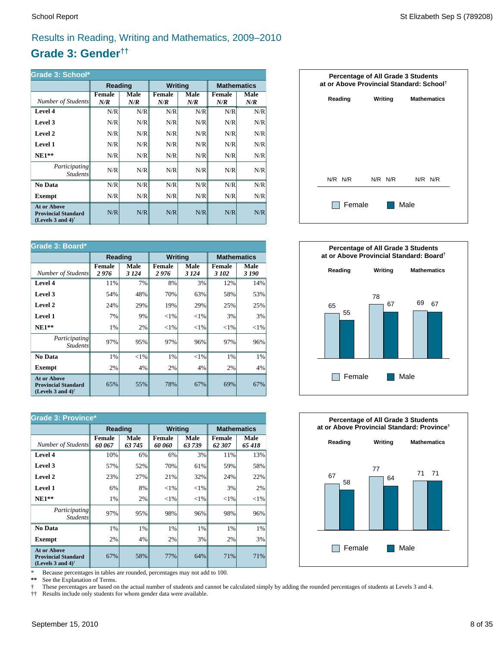## Results in Reading, Writing and Mathematics, 2009–2010

## **Grade 3: Gender††**

| Grade 3: School*                                                                                     |                      |             |                |             |                      |             |  |  |  |
|------------------------------------------------------------------------------------------------------|----------------------|-------------|----------------|-------------|----------------------|-------------|--|--|--|
|                                                                                                      | Reading              |             | <b>Writing</b> |             | <b>Mathematics</b>   |             |  |  |  |
| Number of Students                                                                                   | <b>Female</b><br>N/R | Male<br>N/R | Female<br>N/R  | Male<br>N/R | <b>Female</b><br>N/R | Male<br>N/R |  |  |  |
| Level 4                                                                                              | N/R                  | N/R         | N/R            | N/R         | N/R                  | N/R         |  |  |  |
| Level 3                                                                                              | N/R                  | N/R         | N/R            | N/R         | N/R                  | N/R         |  |  |  |
| Level 2                                                                                              | N/R                  | N/R         | N/R            | N/R         | N/R                  | N/R         |  |  |  |
| Level 1                                                                                              | N/R                  | N/R         | N/R            | N/R         | N/R                  | N/R         |  |  |  |
| $NE1**$                                                                                              | N/R                  | N/R         | N/R            | N/R         | N/R                  | N/R         |  |  |  |
| <i>Participating</i><br><b>Students</b>                                                              | N/R                  | N/R         | N/R            | N/R         | N/R                  | N/R         |  |  |  |
| No Data                                                                                              | N/R                  | N/R         | N/R            | N/R         | N/R                  | N/R         |  |  |  |
| <b>Exempt</b>                                                                                        | N/R                  | N/R         | N/R            | N/R         | N/R                  | N/R         |  |  |  |
| <b>At or Above</b><br><b>Provincial Standard</b><br>(Levels 3 and 4) <sup><math>\dagger</math></sup> | N/R                  | N/R         | N/R            | N/R         | N/R                  | N/R         |  |  |  |

| Grade 3: Board*                                                                |                       |                |                       |                |                    |               |  |
|--------------------------------------------------------------------------------|-----------------------|----------------|-----------------------|----------------|--------------------|---------------|--|
|                                                                                | Reading               |                | <b>Writing</b>        |                | <b>Mathematics</b> |               |  |
| Number of Students                                                             | <b>Female</b><br>2976 | Male<br>3 1 24 | <b>Female</b><br>2976 | Male<br>3 1 24 | Female<br>3 102    | Male<br>3 190 |  |
| Level 4                                                                        | 11%                   | 7%             | 8%                    | 3%             | 12%                | 14%           |  |
| Level 3                                                                        | 54%                   | 48%            | 70%                   | 63%            | 58%                | 53%           |  |
| Level 2                                                                        | 24%                   | 29%            | 19%                   | 29%            | 25%                | 25%           |  |
| Level 1                                                                        | 7%                    | 9%             | ${<}1\%$              | ${<}1\%$       | 3%                 | 3%            |  |
| $NE1**$                                                                        | 1%                    | 2%             | ${<}1\%$              | ${<}1\%$       | ${<}1\%$           | ${<}1\%$      |  |
| Participating<br><i>Students</i>                                               | 97%                   | 95%            | 97%                   | 96%            | 97%                | 96%           |  |
| No Data                                                                        | 1%                    | $<$ 1%         | 1%                    | $<$ 1%         | 1%                 | 1%            |  |
| <b>Exempt</b>                                                                  | 2%                    | 4%             | 2%                    | 4%             | 2%                 | 4%            |  |
| <b>At or Above</b><br><b>Provincial Standard</b><br>(Levels 3 and 4) $\dagger$ | 65%                   | 55%            | 78%                   | 67%            | 69%                | 67%           |  |

| <b>Grade 3: Province*</b>                                                      |                         |                |                         |                |                         |               |  |  |
|--------------------------------------------------------------------------------|-------------------------|----------------|-------------------------|----------------|-------------------------|---------------|--|--|
|                                                                                | Reading                 |                | <b>Writing</b>          |                | <b>Mathematics</b>      |               |  |  |
| Number of Students                                                             | <b>Female</b><br>60 067 | Male<br>63 745 | <b>Female</b><br>60 060 | Male<br>63 739 | <b>Female</b><br>62 307 | Male<br>65418 |  |  |
| Level 4                                                                        | 10%                     | 6%             | 6%                      | 3%             | 11%                     | 13%           |  |  |
| Level 3                                                                        | 57%                     | 52%            | 70%                     | 61%            | 59%                     | 58%           |  |  |
| Level 2                                                                        | 23%                     | 27%            | 21%                     | 32%            | 24%                     | 22%           |  |  |
| Level 1                                                                        | 6%                      | 8%             | $<$ 1%                  | ${<}1\%$       | 3%                      | 2%            |  |  |
| $NE1**$                                                                        | 1%                      | 2%             | ${<}1\%$                | ${<}1\%$       | ${<}1\%$                | ${<}1\%$      |  |  |
| <i>Participating</i><br><i>Students</i>                                        | 97%                     | 95%            | 98%                     | 96%            | 98%                     | 96%           |  |  |
| No Data                                                                        | 1%                      | 1%             | 1%                      | 1%             | 1%                      | 1%            |  |  |
| <b>Exempt</b>                                                                  | 2%                      | 4%             | 2%                      | 3%             | 2%                      | 3%            |  |  |
| <b>At or Above</b><br><b>Provincial Standard</b><br>(Levels 3 and 4) $\dagger$ | 67%                     | 58%            | 77%                     | 64%            | 71%                     | 71%           |  |  |

\* Because percentages in tables are rounded, percentages may not add to 100.<br>\*\* See the Explanation of Terms.

See the Explanation of Terms.

† These percentages are based on the actual number of students and cannot be calculated simply by adding the rounded percentages of students at Levels 3 and 4.<br>†† Results include only students for whom gender data were ava

†† Results include only students for whom gender data were available.





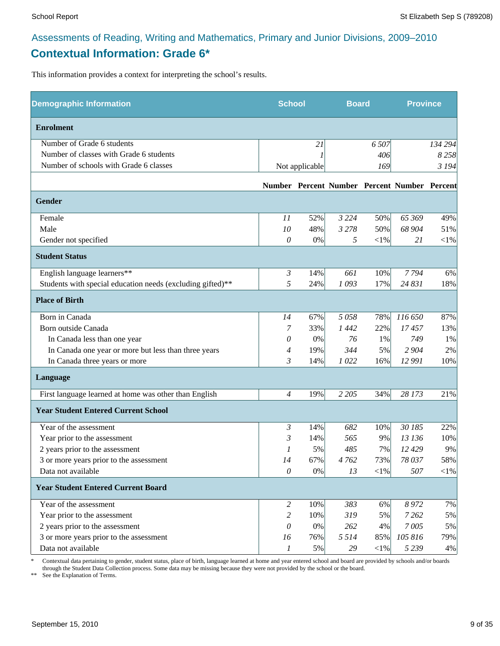## Assessments of Reading, Writing and Mathematics, Primary and Junior Divisions, 2009–2010 **Contextual Information: Grade 6\***

This information provides a context for interpreting the school's results.

| <b>Demographic Information</b>                             | <b>School</b>  |                | <b>Board</b> |            | <b>Province</b>                              |            |
|------------------------------------------------------------|----------------|----------------|--------------|------------|----------------------------------------------|------------|
| <b>Enrolment</b>                                           |                |                |              |            |                                              |            |
| Number of Grade 6 students                                 |                | 21             |              | 6 5 0 7    |                                              | 134 294    |
| Number of classes with Grade 6 students                    |                |                |              | 406        |                                              | 8258       |
| Number of schools with Grade 6 classes                     |                | Not applicable |              | 169        |                                              | 3 1 9 4    |
|                                                            |                |                |              |            | Number Percent Number Percent Number Percent |            |
| <b>Gender</b>                                              |                |                |              |            |                                              |            |
| Female                                                     | 11             | 52%            | 3 2 2 4      | 50%        | 65 369                                       | 49%        |
| Male                                                       | 10             | 48%            | 3 2 7 8      | 50%        | 68 904                                       | 51%        |
| Gender not specified                                       | 0              | 0%             | 5            | $<$ 1%     | 21                                           | $<$ 1%     |
| <b>Student Status</b>                                      |                |                |              |            |                                              |            |
| English language learners**                                | $\mathfrak{Z}$ | 14%            | 661          | 10%        | 7794                                         | 6%         |
| Students with special education needs (excluding gifted)** | 5              | 24%            | 1093         | 17%        | 24 831                                       | 18%        |
| <b>Place of Birth</b>                                      |                |                |              |            |                                              |            |
| Born in Canada                                             | 14             | 67%            | 5058         | 78%        | 116 650                                      | 87%        |
| Born outside Canada                                        | 7              | 33%            | 1442         | 22%        | 17457                                        | 13%        |
| In Canada less than one year                               | 0              | 0%             | 76           | 1%         | 749                                          | 1%         |
| In Canada one year or more but less than three years       | 4              | 19%            | 344          | 5%         | 2 9 0 4                                      | 2%         |
| In Canada three years or more                              | 3              | 14%            | 1022         | 16%        | 12 991                                       | 10%        |
| Language                                                   |                |                |              |            |                                              |            |
| First language learned at home was other than English      | $\overline{4}$ | 19%            | 2 2 0 5      | 34%        | 28 173                                       | 21%        |
| <b>Year Student Entered Current School</b>                 |                |                |              |            |                                              |            |
| Year of the assessment                                     | 3              | 14%            | 682          | 10%        | 30 185                                       | 22%        |
| Year prior to the assessment                               | 3              | 14%            | 565          | 9%         | 13 136                                       | 10%        |
| 2 years prior to the assessment                            | 1              | 5%             | 485          | 7%         | 12 429                                       | 9%         |
| 3 or more years prior to the assessment                    | 14             | 67%            | 4 762        | 73%        | 78 037                                       | 58%        |
| Data not available                                         | $\mathcal O$   | $0\%$          | 13           | $<$ l $%$  | 507                                          | $<\!\!1\%$ |
| <b>Year Student Entered Current Board</b>                  |                |                |              |            |                                              |            |
| Year of the assessment                                     | $\overline{2}$ | 10%            | 383          | 6%         | 8 9 7 2                                      | 7%         |
| Year prior to the assessment                               | 2              | 10%            | 319          | 5%         | 7 2 6 2                                      | 5%         |
| 2 years prior to the assessment                            | 0              | 0%             | 262          | 4%         | 7005                                         | 5%         |
| 3 or more years prior to the assessment                    | 16             | 76%            | 5 5 1 4      | 85%        | 105 816                                      | 79%        |
| Data not available                                         | 1              | 5%             | 29           | $<\!\!1\%$ | 5 2 3 9                                      | 4%         |

\* Contextual data pertaining to gender, student status, place of birth, language learned at home and year entered school and board are provided by schools and/or boards through the Student Data Collection process. Some data may be missing because they were not provided by the school or the board.

\*\* See the Explanation of Terms.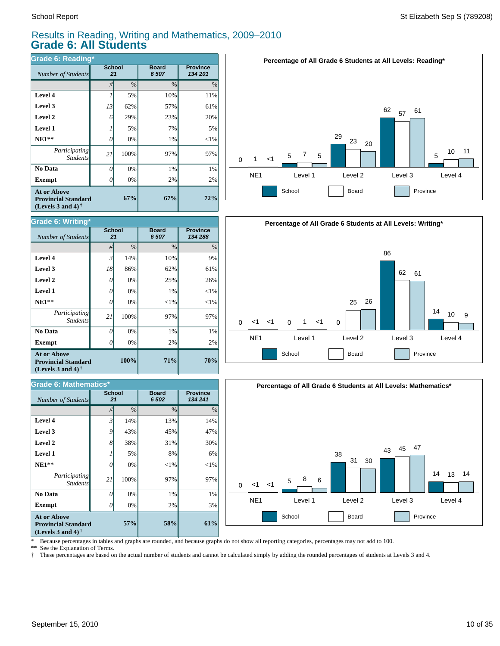*Number of Students* 

**Grade 6: Writing\***

**Exempt**  $\qquad$  0

*Number of Students 21*

**Grade 6: Mathematics\***

*Participating Students*

 **No Data**

**At or Above Provincial Standard (Levels 3 and 4) †**

 **NE1\*\* Level 1 Level 2 Level 3 Level 4**

### Results in Reading, Writing and Mathematics, 2009–2010 **Grade 6: All Students**

*#* % % %

**71%**

**58%**

 $2%$ 1% 97%  $<$ 1% 8% 31% 45% 13%

**Board** *6 502*

2% 1% 97%  $<$ 1% 1% 25% 62% 10%

**Board** *6 507*

**Province** *134 288*

**70%**

**Province** *134 241*

2% 1% 97%  $<$ 1%  $< 1%$ 26% 61% 9%

| Grade 6: Reading*                                                                                           |                     |               |                       |                            |  |  |  |
|-------------------------------------------------------------------------------------------------------------|---------------------|---------------|-----------------------|----------------------------|--|--|--|
| Number of Students                                                                                          | <b>School</b><br>21 |               | <b>Board</b><br>6 507 | <b>Province</b><br>134 201 |  |  |  |
|                                                                                                             | #                   | $\frac{0}{0}$ | $\frac{0}{0}$         | $\%$                       |  |  |  |
| Level 4                                                                                                     | 1                   | 5%            | 10%                   | 11%                        |  |  |  |
| Level 3                                                                                                     | 13                  | 62%           | 57%                   | 61%                        |  |  |  |
| Level 2                                                                                                     | 6                   | 29%           | 23%                   | 20%                        |  |  |  |
| Level 1                                                                                                     |                     | 5%            | 7%                    | 5%                         |  |  |  |
| $NE1**$                                                                                                     | 0                   | 0%            | 1%                    | $<$ 1%                     |  |  |  |
| Participating<br><b>Students</b>                                                                            | 21                  | 100%          | 97%                   | 97%                        |  |  |  |
| No Data                                                                                                     | 0                   | 0%            | 1%                    | 1%                         |  |  |  |
| <b>Exempt</b>                                                                                               |                     | 0%            | 2%                    | 2%                         |  |  |  |
| <b>At or Above</b><br>67%<br><b>Provincial Standard</b><br>(Levels 3 and 4) <sup><math>\dagger</math></sup> |                     |               | 67%                   | 72%                        |  |  |  |

**School**

**School**

**100%**

**57%**

0% 0% 100% 0% 5% 38% 43% 14%

0% 0% 100% 0% 0% 0% 86% 14%







**Exempt** *0* 

*Participating Students*

 **No Data**

**At or Above Provincial Standard (Levels 3 and 4) †**

 **NE1\*\* Level 1 Level 2 Level 3 Level 4**

\* Because percentages in tables and graphs are rounded, and because graphs do not show all reporting categories, percentages may not add to 100.

**\*\*** See the Explanation of Terms.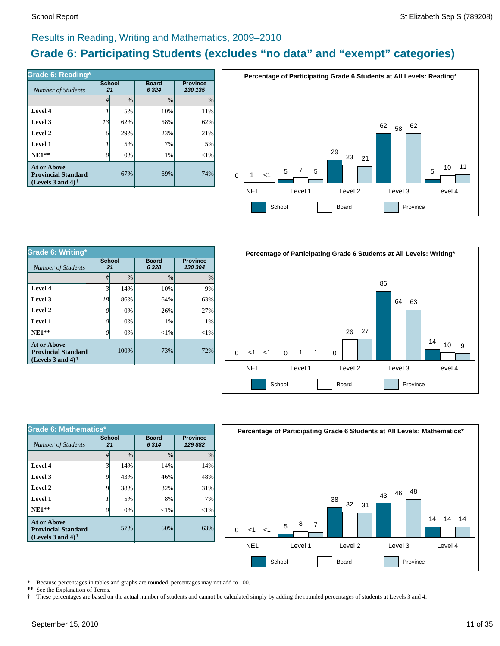### Results in Reading, Writing and Mathematics, 2009–2010

## **Grade 6: Participating Students (excludes "no data" and "exempt" categories)**

| Number of Students                                                                    | <b>School</b><br>21 |      | <b>Board</b><br>6 3 2 4 | <b>Province</b><br>130 135 |  |
|---------------------------------------------------------------------------------------|---------------------|------|-------------------------|----------------------------|--|
|                                                                                       | #                   | $\%$ | $\frac{0}{0}$           | $\%$                       |  |
| Level 4                                                                               |                     | 5%   | 10%                     | 11%                        |  |
| Level 3                                                                               | 13                  | 62%  | 58%                     | 62%                        |  |
| Level 2                                                                               | 6                   | 29%  | 23%                     | 21%                        |  |
| Level 1                                                                               |                     | 5%   | 7%                      | 5%                         |  |
| $NE1**$                                                                               | O                   | 0%   | 1%                      | $<$ 1%                     |  |
| <b>At or Above</b><br>67%<br><b>Provincial Standard</b><br>(Levels 3 and 4) $\dagger$ |                     |      | 69%                     | 74%                        |  |



| Grade 6: Writing*                                                                      |                     |      |                        |                            |  |  |  |
|----------------------------------------------------------------------------------------|---------------------|------|------------------------|----------------------------|--|--|--|
| Number of Students                                                                     | <b>School</b><br>21 |      | <b>Board</b><br>6 3 28 | <b>Province</b><br>130 304 |  |  |  |
|                                                                                        | #                   | $\%$ | $\frac{0}{0}$          | $\frac{0}{0}$              |  |  |  |
| Level 4                                                                                | 3'                  | 14%  | 10%                    | 9%                         |  |  |  |
| Level 3                                                                                | 18                  | 86%  | 64%                    | 63%                        |  |  |  |
| Level 2                                                                                | 0                   | 0%   | 26%                    | 27%                        |  |  |  |
| Level 1                                                                                | O                   | 0%   | 1%                     | 1%                         |  |  |  |
| $NE1**$                                                                                |                     | 0%   | ${<}1\%$               | $<$ 1%                     |  |  |  |
| <b>At or Above</b><br>100%<br><b>Provincial Standard</b><br>(Levels 3 and 4) $\dagger$ |                     |      | 73%                    | 72%                        |  |  |  |



| <b>Grade 6: Mathematics*</b>                                                                                |                     |               |                      |                            |  |  |  |
|-------------------------------------------------------------------------------------------------------------|---------------------|---------------|----------------------|----------------------------|--|--|--|
| Number of Students                                                                                          | <b>School</b><br>21 |               | <b>Board</b><br>6314 | <b>Province</b><br>129 882 |  |  |  |
|                                                                                                             | #                   | $\frac{0}{0}$ | $\frac{0}{0}$        | $\frac{0}{0}$              |  |  |  |
| Level 4                                                                                                     | 3 <sup>1</sup>      | 14%           | 14%                  | 14%                        |  |  |  |
| Level 3                                                                                                     | 9                   | 43%           | 46%                  | 48%                        |  |  |  |
| Level 2                                                                                                     | 8                   | 38%           | 32%                  | 31%                        |  |  |  |
| Level 1                                                                                                     |                     | 5%            | 8%                   | 7%                         |  |  |  |
| $NE1**$                                                                                                     | O                   | 0%            | $<$ 1%               | $<$ 1%                     |  |  |  |
| <b>At or Above</b><br>57%<br><b>Provincial Standard</b><br>(Levels 3 and 4) <sup><math>\dagger</math></sup> |                     |               | 60%                  | 63%                        |  |  |  |



\* Because percentages in tables and graphs are rounded, percentages may not add to 100.<br>\*\* See the Explanation of Terms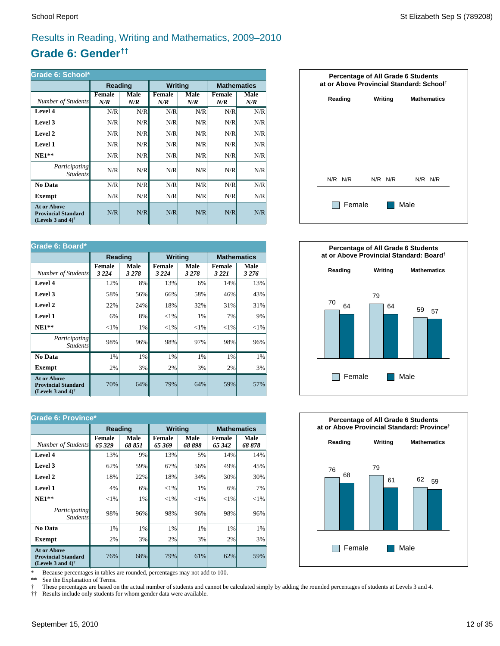## Results in Reading, Writing and Mathematics, 2009–2010

## **Grade 6: Gender††**

| Grade 6: School*                                                                                     |                      |             |                |             |                      |                    |  |
|------------------------------------------------------------------------------------------------------|----------------------|-------------|----------------|-------------|----------------------|--------------------|--|
|                                                                                                      | Reading              |             | <b>Writing</b> |             |                      | <b>Mathematics</b> |  |
| Number of Students                                                                                   | <b>Female</b><br>N/R | Male<br>N/R | Female<br>N/R  | Male<br>N/R | <b>Female</b><br>N/R | Male<br>N/R        |  |
| Level 4                                                                                              | N/R                  | N/R         | N/R            | N/R         | N/R                  | N/R                |  |
| Level 3                                                                                              | N/R                  | N/R         | N/R            | N/R         | N/R                  | N/R                |  |
| Level 2                                                                                              | N/R                  | N/R         | N/R            | N/R         | N/R                  | N/R                |  |
| Level 1                                                                                              | N/R                  | N/R         | N/R            | N/R         | N/R                  | N/R                |  |
| $NE1**$                                                                                              | N/R                  | N/R         | N/R            | N/R         | N/R                  | N/R                |  |
| <i>Participating</i><br><b>Students</b>                                                              | N/R                  | N/R         | N/R            | N/R         | N/R                  | N/R                |  |
| No Data                                                                                              | N/R                  | N/R         | N/R            | N/R         | N/R                  | N/R                |  |
| <b>Exempt</b>                                                                                        | N/R                  | N/R         | N/R            | N/R         | N/R                  | N/R                |  |
| <b>At or Above</b><br><b>Provincial Standard</b><br>(Levels 3 and 4) <sup><math>\dagger</math></sup> | N/R                  | N/R         | N/R            | N/R         | N/R                  | N/R                |  |

| Grade 6: Board*                                                                |                          |                 |                          |                        |                          |                    |  |
|--------------------------------------------------------------------------------|--------------------------|-----------------|--------------------------|------------------------|--------------------------|--------------------|--|
|                                                                                |                          | Reading         | <b>Writing</b>           |                        |                          | <b>Mathematics</b> |  |
| Number of Students                                                             | <b>Female</b><br>3 2 2 4 | Male<br>3 2 7 8 | <b>Female</b><br>3 2 2 4 | <b>Male</b><br>3 2 7 8 | <b>Female</b><br>3 2 2 1 | Male<br>3 2 7 6    |  |
| Level 4                                                                        | 12%                      | 8%              | 13%                      | 6%                     | 14%                      | 13%                |  |
| Level 3                                                                        | 58%                      | 56%             | 66%                      | 58%                    | 46%                      | 43%                |  |
| Level 2                                                                        | 22%                      | 24%             | 18%                      | 32%                    | 31%                      | 31%                |  |
| <b>Level 1</b>                                                                 | 6%                       | 8%              | ${<}1\%$                 | 1%                     | 7%                       | 9%                 |  |
| $NE1**$                                                                        | ${<}1\%$                 | 1%              | ${<}1\%$                 | ${<}1\%$               | ${<}1\%$                 | ${<}1\%$           |  |
| Participating<br><b>Students</b>                                               | 98%                      | 96%             | 98%                      | 97%                    | 98%                      | 96%                |  |
| No Data                                                                        | 1%                       | 1%              | 1%                       | 1%                     | 1%                       | 1%                 |  |
| <b>Exempt</b>                                                                  | 2%                       | 3%              | 2%                       | 3%                     | 2%                       | 3%                 |  |
| <b>At or Above</b><br><b>Provincial Standard</b><br>(Levels 3 and 4) $\dagger$ | 70%                      | 64%             | 79%                      | 64%                    | 59%                      | 57%                |  |

| <b>Grade 6: Province*</b>                                                                            |                         |                |                         |                |                         |                    |  |
|------------------------------------------------------------------------------------------------------|-------------------------|----------------|-------------------------|----------------|-------------------------|--------------------|--|
|                                                                                                      | Reading                 |                | <b>Writing</b>          |                |                         | <b>Mathematics</b> |  |
| Number of Students                                                                                   | <b>Female</b><br>65 329 | Male<br>68 851 | <b>Female</b><br>65 369 | Male<br>68 898 | <b>Female</b><br>65 342 | Male<br>68 878     |  |
| Level 4                                                                                              | 13%                     | 9%             | 13%                     | 5%             | 14%                     | 14%                |  |
| Level 3                                                                                              | 62%                     | 59%            | 67%                     | 56%            | 49%                     | 45%                |  |
| Level 2                                                                                              | 18%                     | 22%            | 18%                     | 34%            | 30%                     | 30%                |  |
| Level 1                                                                                              | 4%                      | 6%             | ${<}1\%$                | 1%             | 6%                      | 7%                 |  |
| $NE1**$                                                                                              | ${<}1\%$                | 1%             | ${<}1\%$                | ${<}1\%$       | ${<}1\%$                | ${<}1\%$           |  |
| <i>Participating</i><br><i>Students</i>                                                              | 98%                     | 96%            | 98%                     | 96%            | 98%                     | 96%                |  |
| No Data                                                                                              | 1%                      | 1%             | 1%                      | 1%             | 1%                      | 1%                 |  |
| <b>Exempt</b>                                                                                        | 2%                      | 3%             | 2%                      | 3%             | 2%                      | 3%                 |  |
| <b>At or Above</b><br><b>Provincial Standard</b><br>(Levels 3 and 4) <sup><math>\dagger</math></sup> | 76%                     | 68%            | 79%                     | 61%            | 62%                     | 59%                |  |

\* Because percentages in tables are rounded, percentages may not add to 100.<br>\*\* See the Explanation of Terms.

See the Explanation of Terms.

† These percentages are based on the actual number of students and cannot be calculated simply by adding the rounded percentages of students at Levels 3 and 4.<br>†† Results include only students for whom gender data were ava

†† Results include only students for whom gender data were available.





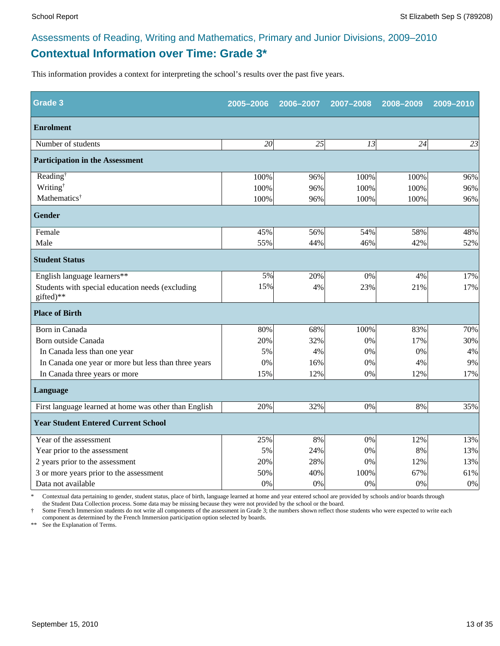## **Contextual Information over Time: Grade 3\*** Assessments of Reading, Writing and Mathematics, Primary and Junior Divisions, 2009–2010

This information provides a context for interpreting the school's results over the past five years.

| <b>Grade 3</b>                                                | 2005-2006 | 2006-2007 | 2007-2008 | 2008-2009 | 2009-2010 |
|---------------------------------------------------------------|-----------|-----------|-----------|-----------|-----------|
| <b>Enrolment</b>                                              |           |           |           |           |           |
| Number of students                                            | 20        | 25        | 13        | 24        | 23        |
| <b>Participation in the Assessment</b>                        |           |           |           |           |           |
| Reading <sup>†</sup>                                          | 100%      | 96%       | 100%      | 100%      | 96%       |
| Writing <sup>†</sup>                                          | 100%      | 96%       | 100%      | 100%      | 96%       |
| Mathematics <sup>†</sup>                                      | 100%      | 96%       | 100%      | 100%      | 96%       |
| <b>Gender</b>                                                 |           |           |           |           |           |
| Female                                                        | 45%       | 56%       | 54%       | 58%       | 48%       |
| Male                                                          | 55%       | 44%       | 46%       | 42%       | 52%       |
| <b>Student Status</b>                                         |           |           |           |           |           |
| English language learners**                                   | 5%        | 20%       | 0%        | 4%        | 17%       |
| Students with special education needs (excluding<br>gifted)** | 15%       | 4%        | 23%       | 21%       | 17%       |
| <b>Place of Birth</b>                                         |           |           |           |           |           |
| Born in Canada                                                | 80%       | 68%       | 100%      | 83%       | 70%       |
| Born outside Canada                                           | 20%       | 32%       | 0%        | 17%       | 30%       |
| In Canada less than one year                                  | 5%        | 4%        | 0%        | 0%        | 4%        |
| In Canada one year or more but less than three years          | 0%        | 16%       | 0%        | 4%        | 9%        |
| In Canada three years or more                                 | 15%       | 12%       | 0%        | 12%       | 17%       |
| Language                                                      |           |           |           |           |           |
| First language learned at home was other than English         | 20%       | 32%       | 0%        | 8%        | 35%       |
| <b>Year Student Entered Current School</b>                    |           |           |           |           |           |
| Year of the assessment                                        | 25%       | 8%        | 0%        | 12%       | 13%       |
| Year prior to the assessment                                  | 5%        | 24%       | 0%        | 8%        | 13%       |
| 2 years prior to the assessment                               | 20%       | 28%       | 0%        | 12%       | 13%       |
| 3 or more years prior to the assessment                       | 50%       | 40%       | 100%      | 67%       | 61%       |
| Data not available                                            | 0%        | 0%        | 0%        | 0%        | $0\%$     |

\* Contextual data pertaining to gender, student status, place of birth, language learned at home and year entered school are provided by schools and/or boards through the Student Data Collection process. Some data may be missing because they were not provided by the school or the board.

† Some French Immersion students do not write all components of the assessment in Grade 3; the numbers shown reflect those students who were expected to write each component as determined by the French Immersion participation option selected by boards.

\*\* See the Explanation of Terms.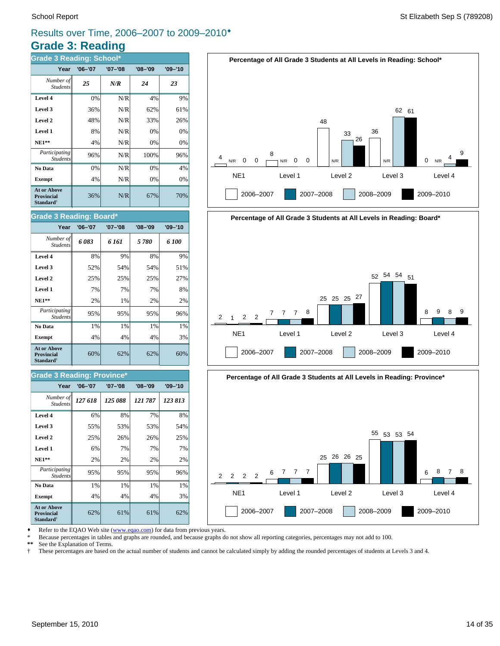## **Grade 3: Reading** Results over Time, 2006–2007 to 2009–2010®

| <b>Grade 3 Reading: School*</b>                                         |             |         |             |             |  |  |  |  |
|-------------------------------------------------------------------------|-------------|---------|-------------|-------------|--|--|--|--|
| Year                                                                    | $'06 - '07$ | '07-'08 | $'08 - '09$ | $'09 - '10$ |  |  |  |  |
| Number of<br><b>Students</b>                                            | 25          | N/R     | 24          | 23          |  |  |  |  |
| Level 4                                                                 | 0%          | N/R     | 4%          | 9%          |  |  |  |  |
| Level 3                                                                 | 36%         | N/R     | 62%         | 61%         |  |  |  |  |
| Level 2                                                                 | 48%         | N/R     | 33%         | 26%         |  |  |  |  |
| Level 1                                                                 | 8%          | N/R     | 0%          | 0%          |  |  |  |  |
| <b>NE1**</b>                                                            | 4%          | N/R     | 0%          | $0\%$       |  |  |  |  |
| Participating<br><b>Students</b>                                        | 96%         | N/R     | 100%        | 96%         |  |  |  |  |
| No Data                                                                 | 0%          | N/R     | 0%          | 4%          |  |  |  |  |
| <b>Exempt</b>                                                           | 4%          | N/R     | 0%          | 0%          |  |  |  |  |
| <b>At or Above</b><br><b>Provincial</b><br><b>Standard</b> <sup>†</sup> | 36%         | N/R     | 67%         | 70%         |  |  |  |  |

### School Report **State Sep S (789208)** Stellizabeth Sep S (789208)



## **Year '06–'07 '07–'08 '08–'09 '09–'10 Grade 3 Reading: Board\***

| Number of<br><b>Students</b>                                 | 6083 | 6 161 | 5780 | 6 100 |
|--------------------------------------------------------------|------|-------|------|-------|
| Level 4                                                      | 8%   | 9%    | 8%   | 9%    |
| Level 3                                                      | 52%  | 54%   | 54%  | 51%   |
| Level 2                                                      | 25%  | 25%   | 25%  | 27%   |
| Level 1                                                      | 7%   | 7%    | 7%   | 8%    |
| <b>NE1**</b>                                                 | 2%   | 1%    | 2%   | 2%    |
| Participating<br><b>Students</b>                             | 95%  | 95%   | 95%  | 96%   |
| No Data                                                      | 1%   | 1%    | 1%   | 1%    |
| <b>Exempt</b>                                                | 4%   | 4%    | 4%   | 3%    |
| <b>At or Above</b><br><b>Provincial</b><br><b>Standard</b> † | 60%  | 62%   | 62%  | 60%   |

### **Grade 3 Reading: Province\***

| Year                                                                    | $'06 - '07$ | '07-'08 | $'08 - '09$ | $'09 - '10$ |  |  |  |  |
|-------------------------------------------------------------------------|-------------|---------|-------------|-------------|--|--|--|--|
| Number of<br><b>Students</b>                                            | 127 618     | 125 088 | 121 787     | 123813      |  |  |  |  |
| Level 4                                                                 | 6%          | 8%      | 7%          | 8%          |  |  |  |  |
| Level 3                                                                 | 55%         | 53%     | 53%         | 54%         |  |  |  |  |
| Level 2                                                                 | 25%         | 26%     | 26%         | 25%         |  |  |  |  |
| Level 1                                                                 | 6%          | 7%      | 7%          | 7%          |  |  |  |  |
| $NE1**$                                                                 | 2%          | 2%      | 2%          | 2%          |  |  |  |  |
| Participating<br><b>Students</b>                                        | 95%         | 95%     | 95%         | 96%         |  |  |  |  |
| No Data                                                                 | 1%          | 1%      | 1%          | 1%          |  |  |  |  |
| <b>Exempt</b>                                                           | 4%          | 4%      | 4%          | 3%          |  |  |  |  |
| <b>At or Above</b><br><b>Provincial</b><br><b>Standard</b> <sup>†</sup> | 62%         | 61%     | 61%         | 62%         |  |  |  |  |





Refer to the EQAO Web site (www.eqao.com) for data from previous years.

\* Because percentages in tables and graphs are rounded, and because graphs do not show all reporting categories, percentages may not add to 100.

**\*\*** See the Explanation of Terms.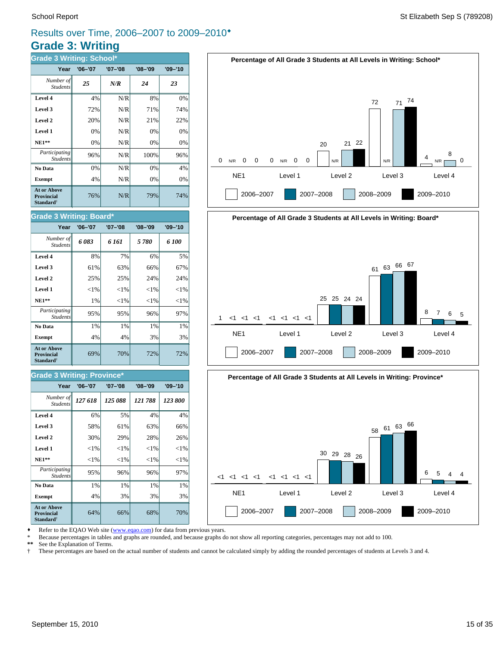## **Grade 3: Writing** Results over Time, 2006–2007 to 2009–2010®

| <b>Grade 3 Writing: School*</b>                                         |             |             |             |             |  |  |  |  |
|-------------------------------------------------------------------------|-------------|-------------|-------------|-------------|--|--|--|--|
| Year                                                                    | $'06 - '07$ | $'07 - '08$ | $'08 - '09$ | $'09 - '10$ |  |  |  |  |
| Number of<br><b>Students</b>                                            | 25          | N/R         | 24          | 23          |  |  |  |  |
| Level 4                                                                 | 4%          | N/R         | 8%          | 0%          |  |  |  |  |
| Level 3                                                                 | 72%         | N/R         | 71%         | 74%         |  |  |  |  |
| Level 2                                                                 | 20%         | N/R         | 21%         | 22%         |  |  |  |  |
| Level 1                                                                 | 0%          | N/R         | 0%          | 0%          |  |  |  |  |
| <b>NE1**</b>                                                            | 0%          | N/R         | 0%          | 0%          |  |  |  |  |
| Participating<br><b>Students</b>                                        | 96%         | N/R         | 100%        | 96%         |  |  |  |  |
| No Data                                                                 | 0%          | N/R         | 0%          | 4%          |  |  |  |  |
| <b>Exempt</b>                                                           | 4%          | N/R         | 0%          | 0%          |  |  |  |  |
| <b>At or Above</b><br><b>Provincial</b><br><b>Standard</b> <sup>†</sup> | 76%         | N/R         | 79%         | 74%         |  |  |  |  |



## **Percentage of All Grade 3 Students at All Levels in Writing: Board\*** NE1 Level 1 Level 2 Level 3 Level 4 1 2006–2007 2007–2008 2008–2009 2009–2010 <1 <1 <1 <1 <1 <1 <1 25 25 24 24 <sup>61</sup> <sup>63</sup> <sup>66</sup> <sup>67</sup> 8 7 6 5



Refer to the EQAO Web site (www.eqao.com) for data from previous years.

\* Because percentages in tables and graphs are rounded, and because graphs do not show all reporting categories, percentages may not add to 100.

**\*\*** See the Explanation of Terms.

† These percentages are based on the actual number of students and cannot be calculated simply by adding the rounded percentages of students at Levels 3 and 4.

### **Level 1**  $\left| \begin{array}{c} | & | \ 1/6 & | \end{array} \right|$   $\left| \begin{array}{c} | & | \ 1/6 & | \end{array} \right|$   $\left| \begin{array}{c} | & | \ 1/6 & | \end{array} \right|$ **Level 2**  $\begin{array}{ccc} \hline \end{array}$  25% 25% 24% 24%

**Grade 3 Writing: Board\***

Student.

| $NE1**$                                                                 | 1%  | ${<}1\%$ | ${<}1\%$ | ${<}1%$ |  |  |
|-------------------------------------------------------------------------|-----|----------|----------|---------|--|--|
| Participating<br><b>Students</b>                                        | 95% | 95%      | 96%      | 97%     |  |  |
| No Data                                                                 | 1%  | 1%       | 1%       | 1%      |  |  |
| <b>Exempt</b>                                                           | 4%  | 4%       | 3%       | 3%      |  |  |
| <b>At or Above</b><br><b>Provincial</b><br><b>Standard</b> <sup>†</sup> | 69% | 70%      | 72%      | 72%     |  |  |
|                                                                         |     |          |          |         |  |  |
| $O$ rade $O$ Weiting $D$ ravinest                                       |     |          |          |         |  |  |

**Level 3**  $\begin{vmatrix} 61\% & 63\% \end{vmatrix}$  66% 67% **Level 4** 8% 7% 6% 5% *6 083 6 161 5 780 6 100 Number of*

**Year '06–'07 '07–'08 '08–'09 '09–'10**

### **Grade 3 Writing: Province\***

| Year                                                                    | $'06 - '07$ | '07-'08  | $'08 - '09$ | $'09 - '10$ |
|-------------------------------------------------------------------------|-------------|----------|-------------|-------------|
| Number of<br><b>Students</b>                                            | 127 618     | 125 088  | 121 788     | 123 800     |
| Level 4                                                                 | 6%          | 5%       | 4%          | 4%          |
| Level 3                                                                 | 58%         | 61%      | 63%         | 66%         |
| Level 2                                                                 | 30%         | 29%      | 28%         | 26%         |
| Level 1                                                                 | ${<}1\%$    | ${<}1\%$ | ${<}1\%$    | ${<}1\%$    |
| $NE1**$                                                                 | ${<}1\%$    | ${<}1\%$ | ${<}1\%$    | ${<}1\%$    |
| Participating<br><b>Students</b>                                        | 95%         | 96%      | 96%         | 97%         |
| No Data                                                                 | 1%          | 1%       | 1%          | 1%          |
| <b>Exempt</b>                                                           | 4%          | 3%       | 3%          | 3%          |
| <b>At or Above</b><br><b>Provincial</b><br><b>Standard</b> <sup>†</sup> | 64%         | 66%      | 68%         | 70%         |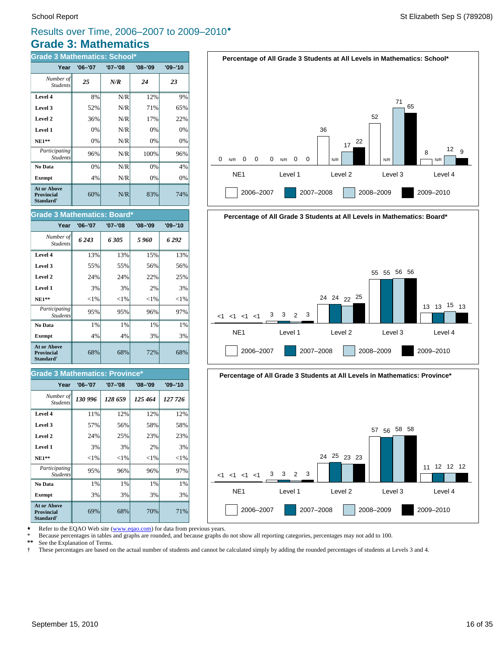## **Grade 3: Mathematics** Results over Time, 2006–2007 to 2009–2010®

| <b>Grade 3 Mathematics: School*</b>                                     |             |             |             |             |  |
|-------------------------------------------------------------------------|-------------|-------------|-------------|-------------|--|
| Year                                                                    | $'06 - '07$ | $'07 - '08$ | $'08 - '09$ | $'09 - '10$ |  |
| Number of<br><b>Students</b>                                            | 25          | N/R         | 24          | 23          |  |
| Level 4                                                                 | 8%          | N/R         | 12%         | 9%          |  |
| Level 3                                                                 | 52%         | N/R         | 71%         | 65%         |  |
| Level 2                                                                 | 36%         | N/R         | 17%         | 22%         |  |
| Level 1                                                                 | 0%          | N/R         | 0%          | 0%          |  |
| $NE1**$                                                                 | 0%          | N/R         | 0%          | 0%          |  |
| Participating<br><b>Students</b>                                        | 96%         | N/R         | 100%        | 96%         |  |
| No Data                                                                 | 0%          | N/R         | 0%          | 4%          |  |
| <b>Exempt</b>                                                           | 4%          | N/R         | 0%          | 0%          |  |
| <b>At or Above</b><br><b>Provincial</b><br><b>Standard</b> <sup>†</sup> | 60%         | N/R         | 83%         | 74%         |  |

| <b>Grade 3 Mathematics: Board*</b>                               |             |          |             |             |  |
|------------------------------------------------------------------|-------------|----------|-------------|-------------|--|
| Year                                                             | $'06 - '07$ | '07-'08  | $'08 - '09$ | $'09 - '10$ |  |
| Number of<br><b>Students</b>                                     | 6 2 4 3     | 6305     | 5960        | 6292        |  |
| Level 4                                                          | 13%         | 13%      | 15%         | 13%         |  |
| Level 3                                                          | 55%         | 55%      | 56%         | 56%         |  |
| Level 2                                                          | 24%         | 24%      | 22%         | 25%         |  |
| Level 1                                                          | 3%          | 3%       | 2%          | 3%          |  |
| $NE1**$                                                          | ${<}1\%$    | ${<}1\%$ | ${<}1%$     | ${<}1\%$    |  |
| Participating<br><b>Students</b>                                 | 95%         | 95%      | 96%         | 97%         |  |
| No Data                                                          | 1%          | 1%       | 1%          | 1%          |  |
| <b>Exempt</b>                                                    | 4%          | 4%       | 3%          | 3%          |  |
| At or Above<br><b>Provincial</b><br><b>Standard</b> <sup>†</sup> | 68%         | 68%      | 72%         | 68%         |  |

### **Grade 3 Mathematics: Province\***

| Year                                                                    | $'06 - '07$ | $'07 - '08$ | $'08 - '09$ | $'09 - '10$ |
|-------------------------------------------------------------------------|-------------|-------------|-------------|-------------|
| Number of<br><b>Students</b>                                            | 130 996     | 128 659     | 125 464     | 127 726     |
| Level 4                                                                 | 11%         | 12%         | 12%         | 12%         |
| Level 3                                                                 | 57%         | 56%         | 58%         | 58%         |
| Level 2                                                                 | 24%         | 25%         | 23%         | 23%         |
| Level 1                                                                 | 3%          | 3%          | 2%          | 3%          |
| <b>NE1**</b>                                                            | ${<}1\%$    | ${<}1\%$    | ${<}1\%$    | ${<}1\%$    |
| <i>Participating</i><br><b>Students</b>                                 | 95%         | 96%         | 96%         | 97%         |
| No Data                                                                 | 1%          | 1%          | 1%          | 1%          |
| <b>Exempt</b>                                                           | 3%          | 3%          | 3%          | 3%          |
| <b>At or Above</b><br><b>Provincial</b><br><b>Standard</b> <sup>†</sup> | 69%         | 68%         | 70%         | 71%         |







Refer to the EQAO Web site (www.eqao.com) for data from previous years.

\* Because percentages in tables and graphs are rounded, and because graphs do not show all reporting categories, percentages may not add to 100.<br>\*\* See the Explanation of Terms

\*\* See the Explanation of Terms.<br><sup>†</sup> These percentages are based on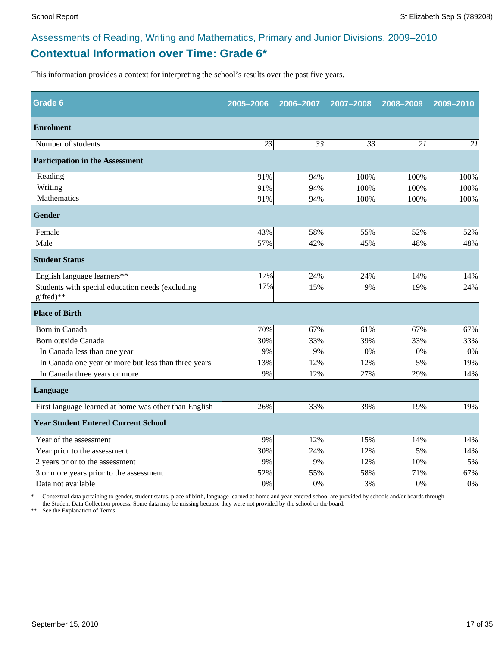## **Contextual Information over Time: Grade 6\*** Assessments of Reading, Writing and Mathematics, Primary and Junior Divisions, 2009–2010

This information provides a context for interpreting the school's results over the past five years.

| Grade 6                                                       | 2005-2006       | 2006-2007 | 2007-2008 | 2008-2009 | 2009-2010 |
|---------------------------------------------------------------|-----------------|-----------|-----------|-----------|-----------|
| <b>Enrolment</b>                                              |                 |           |           |           |           |
| Number of students                                            | $\overline{23}$ | 33        | 33        | 21        | 21        |
| <b>Participation in the Assessment</b>                        |                 |           |           |           |           |
| Reading                                                       | 91%             | 94%       | 100%      | 100%      | 100%      |
| Writing                                                       | 91%             | 94%       | 100%      | 100%      | 100%      |
| Mathematics                                                   | 91%             | 94%       | 100%      | 100%      | 100%      |
| <b>Gender</b>                                                 |                 |           |           |           |           |
| Female                                                        | 43%             | 58%       | 55%       | 52%       | 52%       |
| Male                                                          | 57%             | 42%       | 45%       | 48%       | 48%       |
| <b>Student Status</b>                                         |                 |           |           |           |           |
| English language learners**                                   | 17%             | 24%       | 24%       | 14%       | 14%       |
| Students with special education needs (excluding<br>gifted)** | 17%             | 15%       | 9%        | 19%       | 24%       |
| <b>Place of Birth</b>                                         |                 |           |           |           |           |
| Born in Canada                                                | 70%             | 67%       | 61%       | 67%       | 67%       |
| Born outside Canada                                           | 30%             | 33%       | 39%       | 33%       | 33%       |
| In Canada less than one year                                  | 9%              | 9%        | 0%        | 0%        | 0%        |
| In Canada one year or more but less than three years          | 13%             | 12%       | 12%       | 5%        | 19%       |
| In Canada three years or more                                 | 9%              | 12%       | 27%       | 29%       | 14%       |
| Language                                                      |                 |           |           |           |           |
| First language learned at home was other than English         | 26%             | 33%       | 39%       | 19%       | 19%       |
| <b>Year Student Entered Current School</b>                    |                 |           |           |           |           |
| Year of the assessment                                        | 9%              | 12%       | 15%       | 14%       | 14%       |
| Year prior to the assessment                                  | 30%             | 24%       | 12%       | 5%        | 14%       |
| 2 years prior to the assessment                               | 9%              | 9%        | 12%       | 10%       | 5%        |
| 3 or more years prior to the assessment                       | 52%             | 55%       | 58%       | 71%       | 67%       |
| Data not available                                            | 0%              | 0%        | 3%        | 0%        | $0\%$     |

\* Contextual data pertaining to gender, student status, place of birth, language learned at home and year entered school are provided by schools and/or boards through the Student Data Collection process. Some data may be missing because they were not provided by the school or the board.

\*\* See the Explanation of Terms.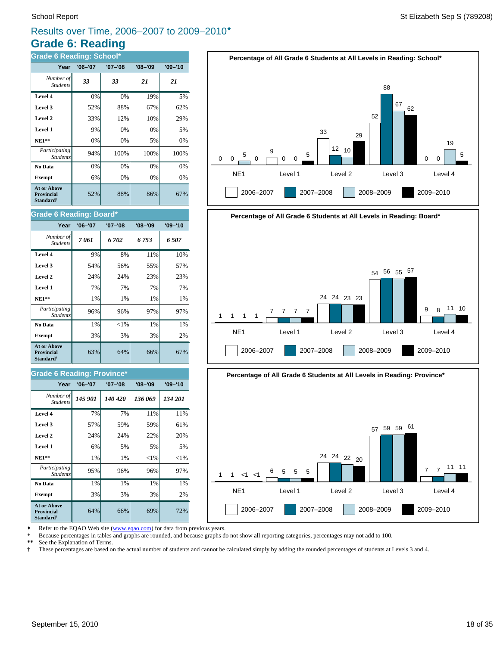## **Grade 6: Reading** Results over Time, 2006–2007 to 2009–2010®

| <b>Grade 6 Reading: School*</b>                                         |             |             |             |             |  |
|-------------------------------------------------------------------------|-------------|-------------|-------------|-------------|--|
| Year                                                                    | $'06 - '07$ | $'07 - '08$ | $'08 - '09$ | $'09 - '10$ |  |
| Number of<br><b>Students</b>                                            | 33          | 33          | 21          | 21          |  |
| Level 4                                                                 | 0%          | 0%          | 19%         | 5%          |  |
| Level 3                                                                 | 52%         | 88%         | 67%         | 62%         |  |
| Level 2                                                                 | 33%         | 12%         | 10%         | 29%         |  |
| Level 1                                                                 | 9%          | 0%          | 0%          | 5%          |  |
| $NE1**$                                                                 | 0%          | 0%          | 5%          | 0%          |  |
| Participating<br><b>Students</b>                                        | 94%         | 100%        | 100%        | 100%        |  |
| No Data                                                                 | 0%          | 0%          | 0%          | 0%          |  |
| <b>Exempt</b>                                                           | 6%          | 0%          | 0%          | 0%          |  |
| <b>At or Above</b><br><b>Provincial</b><br><b>Standard</b> <sup>†</sup> | 52%         | 88%         | 86%         | 67%         |  |

### **Grade 6 Reading: Board\***

| Year                                                                    | $'06 - '07$ | $'07 - '08$ | $'08 - '09$ | $'09 - '10$ |
|-------------------------------------------------------------------------|-------------|-------------|-------------|-------------|
| Number of<br><b>Students</b>                                            | 7061        | 6 702       | 6 753       | 6 507       |
| Level 4                                                                 | 9%          | 8%          | 11%         | 10%         |
| Level 3                                                                 | 54%         | 56%         | 55%         | 57%         |
| Level 2                                                                 | 24%         | 24%         | 23%         | 23%         |
| Level 1                                                                 | 7%          | 7%          | 7%          | 7%          |
| $NE1**$                                                                 | 1%          | 1%          | 1%          | 1%          |
| Participating<br><b>Students</b>                                        | 96%         | 96%         | 97%         | 97%         |
| No Data                                                                 | 1%          | ${<}1\%$    | 1%          | 1%          |
| <b>Exempt</b>                                                           | 3%          | 3%          | 3%          | 2%          |
| <b>At or Above</b><br><b>Provincial</b><br><b>Standard</b> <sup>†</sup> | 63%         | 64%         | 66%         | 67%         |

### **Grade 6 Reading: Province\***

| Year                                                                    | $'06 - '07$ | $'07 - '08$ | $'08 - '09$ | $'09 - '10$ |
|-------------------------------------------------------------------------|-------------|-------------|-------------|-------------|
| Number of<br><b>Students</b>                                            | 145 901     | 140 420     | 136 069     | 134 201     |
| Level 4                                                                 | 7%          | 7%          | 11%         | 11%         |
| Level 3                                                                 | 57%         | 59%         | 59%         | 61%         |
| Level 2                                                                 | 24%         | 24%         | 22%         | 20%         |
| Level 1                                                                 | 6%          | 5%          | 5%          | 5%          |
| $NE1**$                                                                 | 1%          | 1%          | ${<}1\%$    | ${<}1%$     |
| <i>Participating</i><br><b>Students</b>                                 | 95%         | 96%         | 96%         | 97%         |
| No Data                                                                 | 1%          | 1%          | 1%          | 1%          |
| <b>Exempt</b>                                                           | 3%          | 3%          | 3%          | 2%          |
| <b>At or Above</b><br><b>Provincial</b><br><b>Standard</b> <sup>†</sup> | 64%         | 66%         | 69%         | 72%         |







Refer to the EQAO Web site (www.eqao.com) for data from previous years.

\* Because percentages in tables and graphs are rounded, and because graphs do not show all reporting categories, percentages may not add to 100.

**\*\*** See the Explanation of Terms.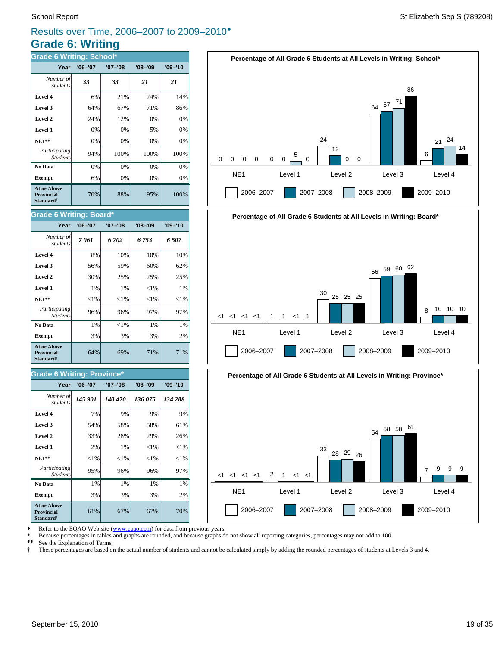## **Grade 6: Writing** Results over Time, 2006–2007 to 2009–2010®

| <b>Grade 6 Writing: School*</b>                                         |             |             |             |             |  |
|-------------------------------------------------------------------------|-------------|-------------|-------------|-------------|--|
| Year                                                                    | $'06 - '07$ | $'07 - '08$ | $'08 - '09$ | $'09 - '10$ |  |
| Number of<br><b>Students</b>                                            | 33          | 33          | 21          | 21          |  |
| Level 4                                                                 | 6%          | 21%         | 24%         | 14%         |  |
| Level 3                                                                 | 64%         | 67%         | 71%         | 86%         |  |
| Level 2                                                                 | 24%         | 12%         | 0%          | 0%          |  |
| Level 1                                                                 | 0%          | 0%          | 5%          | 0%          |  |
| $NE1**$                                                                 | 0%          | 0%          | 0%          | 0%          |  |
| Participating<br><b>Students</b>                                        | 94%         | 100%        | 100%        | 100%        |  |
| No Data                                                                 | 0%          | 0%          | 0%          | 0%          |  |
| <b>Exempt</b>                                                           | 6%          | 0%          | 0%          | 0%          |  |
| <b>At or Above</b><br><b>Provincial</b><br><b>Standard</b> <sup>†</sup> | 70%         | 88%         | 95%         | 100%        |  |

### **Grade 6 Writing: Board\***

| Year                                                                    | $'06 - '07$ | '07-'08  | $'08 - '09$ | $'09 - '10$ |
|-------------------------------------------------------------------------|-------------|----------|-------------|-------------|
| Number of<br><b>Students</b>                                            | 7061        | 6 702    | 6 753       | 6 507       |
| Level 4                                                                 | 8%          | 10%      | 10%         | 10%         |
| Level 3                                                                 | 56%         | 59%      | 60%         | 62%         |
| Level 2                                                                 | 30%         | 25%      | 25%         | 25%         |
| Level 1                                                                 | 1%          | 1%       | ${<}1\%$    | 1%          |
| <b>NE1**</b>                                                            | ${<}1\%$    | ${<}1\%$ | ${<}1\%$    | ${<}1\%$    |
| Participating<br><b>Students</b>                                        | 96%         | 96%      | 97%         | 97%         |
| No Data                                                                 | 1%          | ${<}1\%$ | 1%          | 1%          |
| <b>Exempt</b>                                                           | 3%          | 3%       | 3%          | 2%          |
| <b>At or Above</b><br><b>Provincial</b><br><b>Standard</b> <sup>†</sup> | 64%         | 69%      | 71%         | 71%         |

### **Grade 6 Writing: Province\***

| Year                                                                    | $'06 - '07$ | $'07 - '08$ | $'08 - '09$ | $'09 - '10$ |
|-------------------------------------------------------------------------|-------------|-------------|-------------|-------------|
| Number of<br><b>Students</b>                                            | 145 901     | 140 420     | 136 075     | 134 288     |
| Level 4                                                                 | 7%          | 9%          | 9%          | 9%          |
| Level 3                                                                 | 54%         | 58%         | 58%         | 61%         |
| Level 2                                                                 | 33%         | 28%         | 29%         | 26%         |
| Level 1                                                                 | 2%          | 1%          | ${<}1\%$    | ${<}1\%$    |
| $NE1**$                                                                 | ${<}1\%$    | ${<}1\%$    | ${<}1\%$    | ${<}1\%$    |
| Participating<br><b>Students</b>                                        | 95%         | 96%         | 96%         | 97%         |
| No Data                                                                 | 1%          | 1%          | 1%          | 1%          |
| <b>Exempt</b>                                                           | 3%          | 3%          | 3%          | 2%          |
| <b>At or Above</b><br><b>Provincial</b><br><b>Standard</b> <sup>†</sup> | 61%         | 67%         | 67%         | 70%         |







Refer to the EQAO Web site (www.eqao.com) for data from previous years.

\* Because percentages in tables and graphs are rounded, and because graphs do not show all reporting categories, percentages may not add to 100.<br>\*\* See the Explanation of Terms

\*\* See the Explanation of Terms.<br><sup>†</sup> These percentages are based on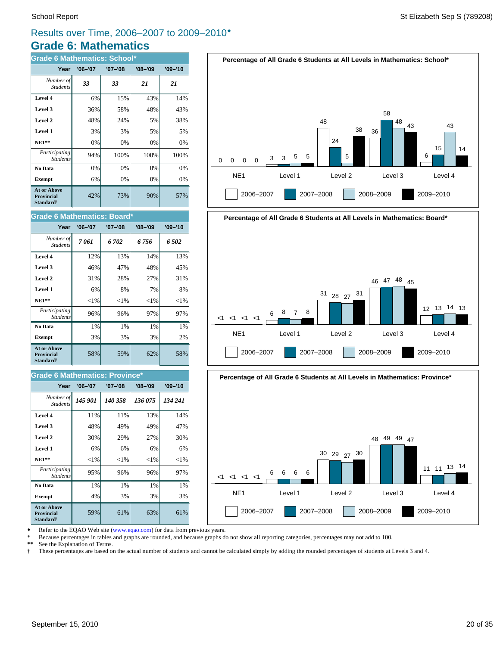## **Grade 6: Mathematics** Results over Time, 2006–2007 to 2009–2010®

| <b>Grade 6 Mathematics: School*</b>                                     |             |             |             |             |  |  |  |  |  |
|-------------------------------------------------------------------------|-------------|-------------|-------------|-------------|--|--|--|--|--|
| Year                                                                    | $'06 - '07$ | $'07 - '08$ | $'08 - '09$ | $'09 - '10$ |  |  |  |  |  |
| Number of<br><b>Students</b>                                            | 33          | 33          | 21          | 21          |  |  |  |  |  |
| Level 4                                                                 | 6%          | 15%         | 43%         | 14%         |  |  |  |  |  |
| Level 3                                                                 | 36%         | 58%         | 48%         | 43%         |  |  |  |  |  |
| Level 2                                                                 | 48%         | 24%         | 5%          | 38%         |  |  |  |  |  |
| Level 1                                                                 | 3%          | 3%          | 5%          | 5%          |  |  |  |  |  |
| $NE1**$                                                                 | 0%          | 0%          | 0%          | 0%          |  |  |  |  |  |
| Participating<br><b>Students</b>                                        | 94%         | 100%        | 100%        | 100%        |  |  |  |  |  |
| No Data                                                                 | 0%          | 0%          | 0%          | 0%          |  |  |  |  |  |
| <b>Exempt</b>                                                           | 6%          | 0%          | 0%          | 0%          |  |  |  |  |  |
| <b>At or Above</b><br><b>Provincial</b><br><b>Standard</b> <sup>†</sup> | 42%         | 73%         | 90%         | 57%         |  |  |  |  |  |

### **Grade 6 Mathematics: Board\***

| Year                                                                    | $'06 - '07$ | '07-'08  | $'08 - '09$ | $'09 - '10$ |
|-------------------------------------------------------------------------|-------------|----------|-------------|-------------|
| Number of<br><b>Students</b>                                            | 7061        | 6 702    | 6 756       | 6 502       |
| Level 4                                                                 | 12%         | 13%      | 14%         | 13%         |
| Level 3                                                                 | 46%         | 47%      | 48%         | 45%         |
| Level 2                                                                 | 31%         | 28%      | 27%         | 31%         |
| Level 1                                                                 | 6%          | 8%       | 7%          | 8%          |
| $NE1**$                                                                 | ${<}1\%$    | ${<}1\%$ | ${<}1\%$    | ${<}1\%$    |
| Participating<br><b>Students</b>                                        | 96%         | 96%      | 97%         | 97%         |
| No Data                                                                 | 1%          | $1\%$    | $1\%$       | 1%          |
| <b>Exempt</b>                                                           | 3%          | 3%       | 3%          | 2%          |
| <b>At or Above</b><br><b>Provincial</b><br><b>Standard</b> <sup>†</sup> | 58%         | 59%      | 62%         | 58%         |

### **Grade 6 Mathematics: Province\***

| Year                                                                    | $'06 - '07$ | $'07 - '08$ | $'08 - '09$ | $'09 - '10$ |
|-------------------------------------------------------------------------|-------------|-------------|-------------|-------------|
| Number of<br><b>Students</b>                                            | 145 901     | 140 358     | 136 075     | 134 241     |
| Level 4                                                                 | 11%         | 11%         | 13%         | 14%         |
| Level 3                                                                 | 48%         | 49%         | 49%         | 47%         |
| Level 2                                                                 | 30%         | 29%         | 27%         | 30%         |
| Level 1                                                                 | 6%          | 6%          | 6%          | 6%          |
| $NE1**$                                                                 | ${<}1\%$    | ${<}1\%$    | ${<}1\%$    | ${<}1\%$    |
| Participating<br><b>Students</b>                                        | 95%         | 96%         | 96%         | 97%         |
| No Data                                                                 | 1%          | 1%          | 1%          | 1%          |
| <b>Exempt</b>                                                           | 4%          | 3%          | 3%          | 3%          |
| <b>At or Above</b><br><b>Provincial</b><br><b>Standard</b> <sup>†</sup> | 59%         | 61%         | 63%         | 61%         |







2006–2007 2007–2008 2008–2009 2009–2010

Refer to the EQAO Web site (www.eqao.com) for data from previous years.

\* Because percentages in tables and graphs are rounded, and because graphs do not show all reporting categories, percentages may not add to 100.

**\*\*** See the Explanation of Terms.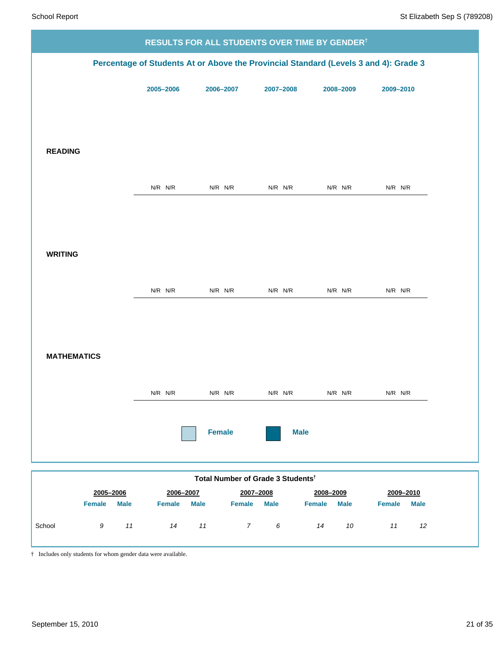|                              |               |                                               |                  | RESULTS FOR ALL STUDENTS OVER TIME BY GENDER <sup>†</sup> |                                                                                      |  |
|------------------------------|---------------|-----------------------------------------------|------------------|-----------------------------------------------------------|--------------------------------------------------------------------------------------|--|
|                              |               |                                               |                  |                                                           | Percentage of Students At or Above the Provincial Standard (Levels 3 and 4): Grade 3 |  |
|                              | 2005-2006     | 2006-2007                                     | 2007-2008        | 2008-2009                                                 | 2009-2010                                                                            |  |
|                              |               |                                               |                  |                                                           |                                                                                      |  |
|                              |               |                                               |                  |                                                           |                                                                                      |  |
| <b>READING</b>               |               |                                               |                  |                                                           |                                                                                      |  |
|                              |               |                                               |                  |                                                           |                                                                                      |  |
|                              | $N/R$ $N/R$   | $N/R$ $N/R$                                   | $N/R$ $N/R$      | N/R N/R                                                   | $N/R$ $N/R$                                                                          |  |
|                              |               |                                               |                  |                                                           |                                                                                      |  |
|                              |               |                                               |                  |                                                           |                                                                                      |  |
| <b>WRITING</b>               |               |                                               |                  |                                                           |                                                                                      |  |
|                              | $N/R$ $N/R$   | $N/R$ $N/R$                                   | $N/R$ $N/R$      | N/R N/R                                                   | $N/R$ $N/R$                                                                          |  |
|                              |               |                                               |                  |                                                           |                                                                                      |  |
|                              |               |                                               |                  |                                                           |                                                                                      |  |
| <b>MATHEMATICS</b>           |               |                                               |                  |                                                           |                                                                                      |  |
|                              |               |                                               |                  |                                                           |                                                                                      |  |
|                              | $N/R$ $N/R$   | $N/R$ $N/R$                                   | $N/R$ $N/R$      | N/R N/R                                                   | $N/R$ $N/R$                                                                          |  |
|                              |               |                                               |                  |                                                           |                                                                                      |  |
|                              |               | <b>Female</b>                                 | <b>Male</b>      |                                                           |                                                                                      |  |
|                              |               |                                               |                  |                                                           |                                                                                      |  |
| 2005-2006                    | 2006-2007     | Total Number of Grade 3 Students <sup>t</sup> | 2007-2008        | 2008-2009                                                 | 2009-2010                                                                            |  |
| <b>Female</b><br><b>Male</b> | <b>Female</b> | <b>Male</b><br><b>Female</b>                  | <b>Male</b>      | <b>Female</b><br><b>Male</b>                              | <b>Female</b><br><b>Male</b>                                                         |  |
| School<br>11<br>9            | 14            | 11<br>$\overline{7}$                          | $\boldsymbol{6}$ | 10<br>14                                                  | $11$<br>12                                                                           |  |

† Includes only students for whom gender data were available.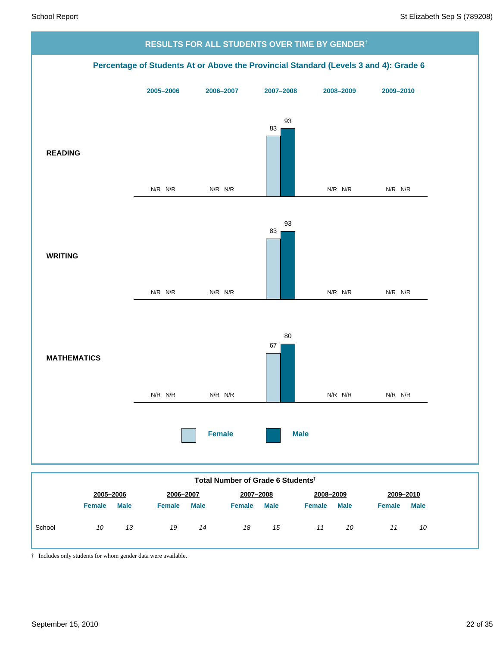

|        |               | 2005-2006   | 2006-2007     |             | 2007-2008     |             | 2008-2009     |             | 2009-2010     |             |
|--------|---------------|-------------|---------------|-------------|---------------|-------------|---------------|-------------|---------------|-------------|
|        | <b>Female</b> | <b>Male</b> | <b>Female</b> | <b>Male</b> | <b>Female</b> | <b>Male</b> | <b>Female</b> | <b>Male</b> | <b>Female</b> | <b>Male</b> |
| School | 10            | 13          | 19            | 14          | 18            | 15          | 11            | 10          |               | 10          |

† Includes only students for whom gender data were available.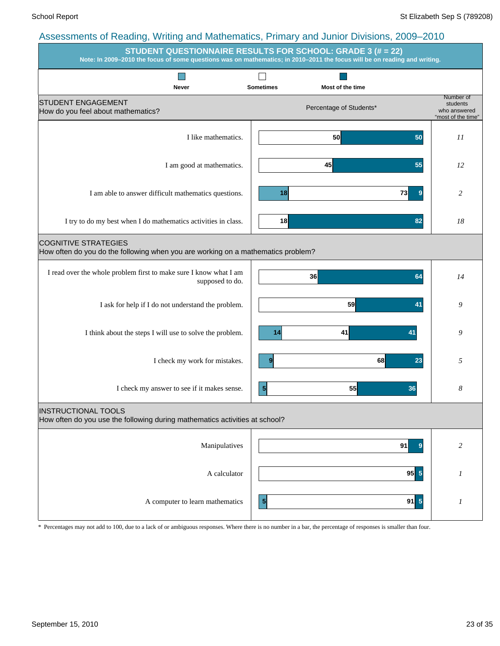|                                                                                                                 | STUDENT QUESTIONNAIRE RESULTS FOR SCHOOL: GRADE 3 (# = 22)<br>Note: In 2009-2010 the focus of some questions was on mathematics; in 2010-2011 the focus will be on reading and writing. |                                                             |
|-----------------------------------------------------------------------------------------------------------------|-----------------------------------------------------------------------------------------------------------------------------------------------------------------------------------------|-------------------------------------------------------------|
|                                                                                                                 |                                                                                                                                                                                         |                                                             |
| <b>Never</b><br><b>STUDENT ENGAGEMENT</b><br>How do you feel about mathematics?                                 | <b>Sometimes</b><br>Most of the time<br>Percentage of Students*                                                                                                                         | Number of<br>students<br>who answered<br>"most of the time" |
| I like mathematics.                                                                                             | 50<br>50                                                                                                                                                                                | 11                                                          |
| I am good at mathematics.                                                                                       | 45<br>55                                                                                                                                                                                | 12                                                          |
| I am able to answer difficult mathematics questions.                                                            | 73<br>18<br>$\overline{9}$                                                                                                                                                              | 2                                                           |
| I try to do my best when I do mathematics activities in class.                                                  | 18<br>82                                                                                                                                                                                | 18                                                          |
| <b>COGNITIVE STRATEGIES</b><br>How often do you do the following when you are working on a mathematics problem? |                                                                                                                                                                                         |                                                             |
| I read over the whole problem first to make sure I know what I am<br>supposed to do.                            | 36<br>64                                                                                                                                                                                | 14                                                          |
| I ask for help if I do not understand the problem.                                                              | 59<br>41                                                                                                                                                                                | 9                                                           |
| I think about the steps I will use to solve the problem.                                                        | 41<br>14<br>41                                                                                                                                                                          | 9                                                           |
| I check my work for mistakes.                                                                                   | 68<br>9<br>23                                                                                                                                                                           | 5                                                           |
| I check my answer to see if it makes sense.                                                                     | 55<br>$\frac{5}{2}$<br>36                                                                                                                                                               | 8                                                           |
| <b>INSTRUCTIONAL TOOLS</b><br>How often do you use the following during mathematics activities at school?       |                                                                                                                                                                                         |                                                             |
| Manipulatives                                                                                                   | 91<br>$\bf{9}$                                                                                                                                                                          | 2                                                           |
| A calculator                                                                                                    | $95\overline{5}$                                                                                                                                                                        | 1                                                           |
| A computer to learn mathematics                                                                                 | $91$ 5<br>$\vert$                                                                                                                                                                       | 1                                                           |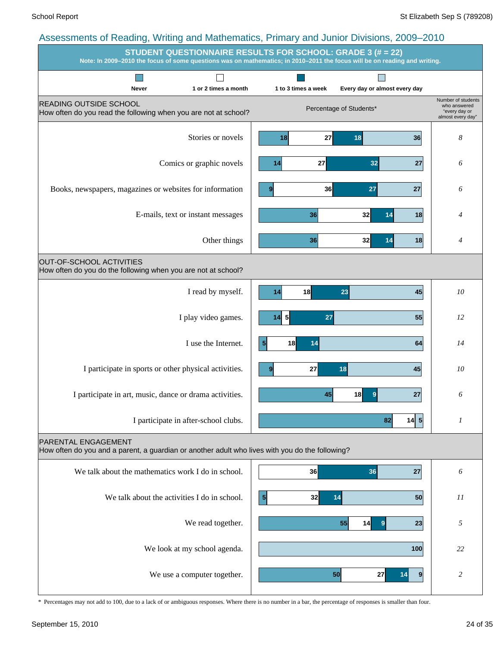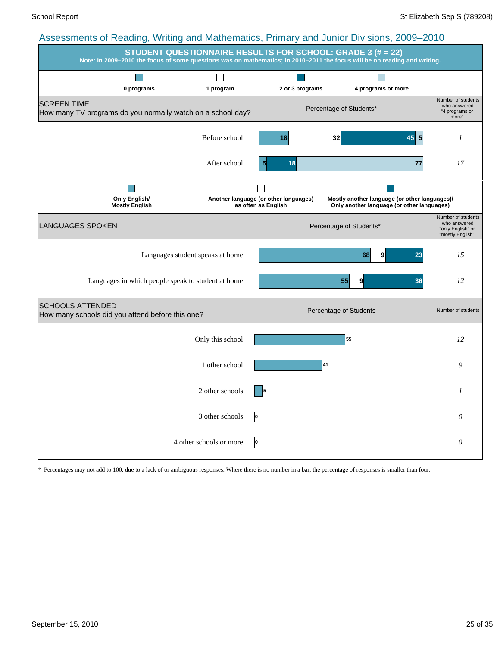| roocoomento or redding, vinning and mathematics, i minary and cannot Divisions, 2000. 2010 | <b>STUDENT QUESTIONNAIRE RESULTS FOR SCHOOL: GRADE 3 (# = 22)</b><br>Note: In 2009-2010 the focus of some questions was on mathematics; in 2010-2011 the focus will be on reading and writing. |                                                              |                                                                                             |                                                                             |  |  |  |
|--------------------------------------------------------------------------------------------|------------------------------------------------------------------------------------------------------------------------------------------------------------------------------------------------|--------------------------------------------------------------|---------------------------------------------------------------------------------------------|-----------------------------------------------------------------------------|--|--|--|
| 0 programs                                                                                 | 1 program                                                                                                                                                                                      | 2 or 3 programs                                              | 4 programs or more                                                                          |                                                                             |  |  |  |
| <b>SCREEN TIME</b><br>How many TV programs do you normally watch on a school day?          |                                                                                                                                                                                                |                                                              | Percentage of Students*                                                                     | Number of students<br>who answered<br>"4 programs or<br>more"               |  |  |  |
|                                                                                            | Before school                                                                                                                                                                                  | 18                                                           | 32<br>$\overline{\mathbf{5}}$<br>45                                                         | 1                                                                           |  |  |  |
|                                                                                            | After school                                                                                                                                                                                   | 18<br>$\overline{5}$                                         | 77                                                                                          | 17                                                                          |  |  |  |
| <b>Only English/</b><br><b>Mostly English</b>                                              |                                                                                                                                                                                                | Another language (or other languages)<br>as often as English | Mostly another language (or other languages)/<br>Only another language (or other languages) |                                                                             |  |  |  |
| LANGUAGES SPOKEN                                                                           |                                                                                                                                                                                                |                                                              | Percentage of Students*                                                                     | Number of students<br>who answered<br>"only English" or<br>"mostly English" |  |  |  |
|                                                                                            | Languages student speaks at home                                                                                                                                                               |                                                              | 23<br>68<br>9                                                                               | 15                                                                          |  |  |  |
| Languages in which people speak to student at home                                         |                                                                                                                                                                                                |                                                              | 9<br>36<br>55                                                                               | 12                                                                          |  |  |  |
| <b>SCHOOLS ATTENDED</b><br>How many schools did you attend before this one?                |                                                                                                                                                                                                |                                                              | Percentage of Students                                                                      | Number of students                                                          |  |  |  |
|                                                                                            | Only this school                                                                                                                                                                               |                                                              | 55                                                                                          | 12                                                                          |  |  |  |
|                                                                                            | 1 other school                                                                                                                                                                                 |                                                              | 41                                                                                          | 9                                                                           |  |  |  |
|                                                                                            | 2 other schools                                                                                                                                                                                |                                                              |                                                                                             | 1                                                                           |  |  |  |
|                                                                                            | 3 other schools                                                                                                                                                                                | O                                                            |                                                                                             | 0                                                                           |  |  |  |
|                                                                                            | 4 other schools or more                                                                                                                                                                        | O                                                            |                                                                                             | $\theta$                                                                    |  |  |  |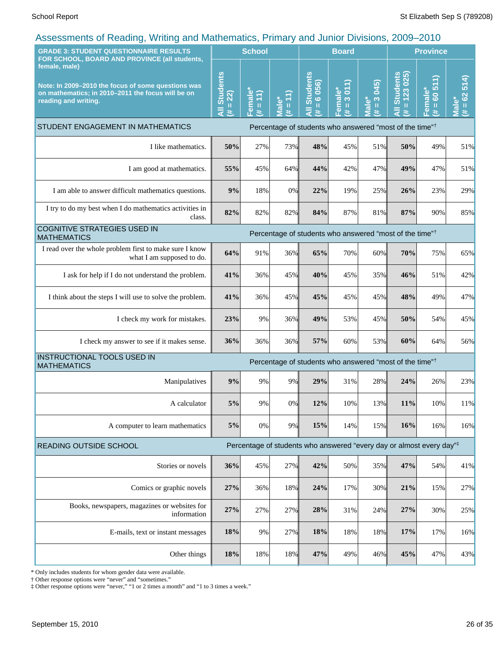| <b>GRADE 3: STUDENT QUESTIONNAIRE RESULTS</b><br>FOR SCHOOL, BOARD AND PROVINCE (all students,                                                   |                                    | <b>School</b>                                                |                             |                                               | <b>Board</b>                         |                                     | <b>Province</b>                                                                  |                                                                        |                                    |
|--------------------------------------------------------------------------------------------------------------------------------------------------|------------------------------------|--------------------------------------------------------------|-----------------------------|-----------------------------------------------|--------------------------------------|-------------------------------------|----------------------------------------------------------------------------------|------------------------------------------------------------------------|------------------------------------|
| female, male)<br>Note: In 2009-2010 the focus of some questions was<br>on mathematics; in 2010-2011 the focus will be on<br>reading and writing. | <b>All Students</b><br>$= 22$<br>共 | Female <sup>®</sup><br>$\left(1\right)$<br>$\mathbf{u}$<br>共 | $= 11$<br><b>Male*</b><br>共 | <b>Students</b><br>$= 6056$<br>$\bar{a}$<br>巷 | 3011<br>Female*<br>$\mathbf{u}$<br>共 | 045)<br>$\frac{3}{2}$<br>Male*<br>共 | <b>Students</b><br>$= 123025$<br>$\overline{a}$<br>共                             | €<br>$\overline{5}$<br>Female*<br>$\overline{60}$<br>$\mathbf{u}$<br>共 | 514<br>$= 62$<br><b>Male*</b><br>进 |
| STUDENT ENGAGEMENT IN MATHEMATICS                                                                                                                |                                    |                                                              |                             |                                               |                                      |                                     | Percentage of students who answered "most of the time" <sup>†</sup>              |                                                                        |                                    |
| I like mathematics.                                                                                                                              | 50%                                | 27%                                                          | 73%                         | 48%                                           | 45%                                  | 51%                                 | 50%                                                                              | 49%                                                                    | 51%                                |
| I am good at mathematics.                                                                                                                        | 55%                                | 45%                                                          | 64%                         | 44%                                           | 42%                                  | 47%                                 | 49%                                                                              | 47%                                                                    | 51%                                |
| I am able to answer difficult mathematics questions.                                                                                             | 9%                                 | 18%                                                          | 0%                          | 22%                                           | 19%                                  | 25%                                 | 26%                                                                              | 23%                                                                    | 29%                                |
| I try to do my best when I do mathematics activities in<br>class.                                                                                | 82%                                | 82%                                                          | 82%                         | 84%                                           | 87%                                  | 81%                                 | 87%                                                                              | 90%                                                                    | 85%                                |
| <b>COGNITIVE STRATEGIES USED IN</b><br><b>MATHEMATICS</b>                                                                                        |                                    |                                                              |                             |                                               |                                      |                                     | Percentage of students who answered "most of the time" <sup>†</sup>              |                                                                        |                                    |
| I read over the whole problem first to make sure I know<br>what I am supposed to do.                                                             | 64%                                | 91%                                                          | 36%                         | 65%                                           | 70%                                  | 60%                                 | 70%                                                                              | 75%                                                                    | 65%                                |
| I ask for help if I do not understand the problem.                                                                                               | 41%                                | 36%                                                          | 45%                         | 40%                                           | 45%                                  | 35%                                 | 46%                                                                              | 51%                                                                    | 42%                                |
| I think about the steps I will use to solve the problem.                                                                                         | 41%                                | 36%                                                          | 45%                         | 45%                                           | 45%                                  | 45%                                 | 48%                                                                              | 49%                                                                    | 47%                                |
| I check my work for mistakes.                                                                                                                    | 23%                                | 9%                                                           | 36%                         | 49%                                           | 53%                                  | 45%                                 | 50%                                                                              | 54%                                                                    | 45%                                |
| I check my answer to see if it makes sense.                                                                                                      | 36%                                | 36%                                                          | 36%                         | 57%                                           | 60%                                  | 53%                                 | 60%                                                                              | 64%                                                                    | 56%                                |
| <b>INSTRUCTIONAL TOOLS USED IN</b><br><b>MATHEMATICS</b>                                                                                         |                                    |                                                              |                             |                                               |                                      |                                     | Percentage of students who answered "most of the time" <sup>†</sup>              |                                                                        |                                    |
| Manipulatives                                                                                                                                    | 9%                                 | 9%                                                           | 9%                          | 29%                                           | 31%                                  | 28%                                 | 24%                                                                              | 26%                                                                    | 23%                                |
| A calculator                                                                                                                                     | 5%                                 | 9%                                                           | 0%                          | 12%                                           | 10%                                  | 13%                                 | 11%                                                                              | 10%                                                                    | 11%                                |
| A computer to learn mathematics                                                                                                                  | $5\%$                              | 0%                                                           | 9%                          | 15%                                           | 14%                                  | 15%                                 | 16%                                                                              | 16%                                                                    | 16%                                |
| <b>READING OUTSIDE SCHOOL</b>                                                                                                                    |                                    |                                                              |                             |                                               |                                      |                                     | Percentage of students who answered "every day or almost every day" <sup>‡</sup> |                                                                        |                                    |
| Stories or novels                                                                                                                                | 36%                                | 45%                                                          | 27%                         | 42%                                           | 50%                                  | 35%                                 | 47%                                                                              | 54%                                                                    | 41%                                |
| Comics or graphic novels                                                                                                                         | 27%                                | 36%                                                          | 18%                         | 24%                                           | 17%                                  | 30%                                 | 21%                                                                              | 15%                                                                    | 27%                                |
| Books, newspapers, magazines or websites for<br>information                                                                                      | 27%                                | 27%                                                          | 27%                         | 28%                                           | 31%                                  | 24%                                 | 27%                                                                              | 30%                                                                    | 25%                                |
| E-mails, text or instant messages                                                                                                                | 18%                                | 9%                                                           | 27%                         | 18%                                           | 18%                                  | 18%                                 | 17%                                                                              | 17%                                                                    | 16%                                |
| Other things                                                                                                                                     | 18%                                | 18%                                                          | 18%                         | 47%                                           | 49%                                  | 46%                                 | 45%                                                                              | 47%                                                                    | 43%                                |

\* Only includes students for whom gender data were available.

† Other response options were "never" and "sometimes."

‡ Other response options were "never," "1 or 2 times a month" and "1 to 3 times a week."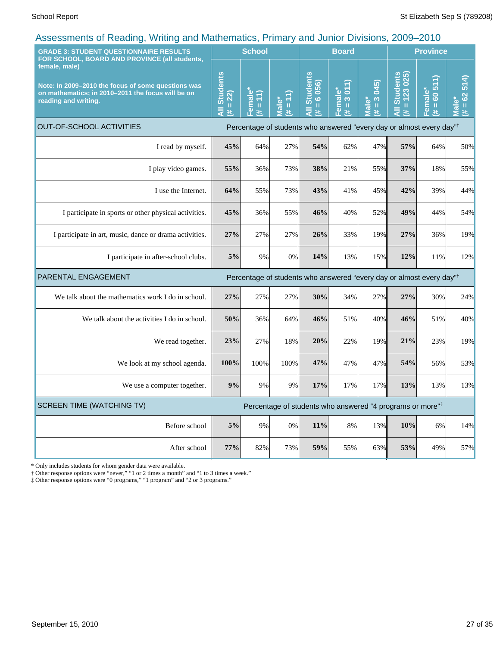| <b>GRADE 3: STUDENT QUESTIONNAIRE RESULTS</b>                                                                                                                                                     |                                     | <b>School</b>                                                                   |                                    |                                                                                  | <b>Board</b>             |                                                 |                     | <b>Province</b><br>$= 123025$<br>€<br>514)<br>60 51<br>Female*<br>62<br>ۜڡ<br>$\mathbf{\bar{I}}$<br>$\mathbf{H}% =\mathbf{H}^{T}\mathbf{v}^{T}\mathbf{v}^{T}\mathbf{v}^{T}+\mathbf{H}^{T}\mathbf{v}^{T}\mathbf{v}^{T}+\mathbf{H}^{T}\mathbf{v}^{T}\mathbf{v}^{T}$<br>Jial<br>業<br>共<br>进<br>Percentage of students who answered "every day or almost every day" <sup>†</sup><br>64%<br>50%<br>18%<br>55%<br>39%<br>44%<br>44%<br>54% |     |  |
|---------------------------------------------------------------------------------------------------------------------------------------------------------------------------------------------------|-------------------------------------|---------------------------------------------------------------------------------|------------------------------------|----------------------------------------------------------------------------------|--------------------------|-------------------------------------------------|---------------------|--------------------------------------------------------------------------------------------------------------------------------------------------------------------------------------------------------------------------------------------------------------------------------------------------------------------------------------------------------------------------------------------------------------------------------------|-----|--|
| FOR SCHOOL, BOARD AND PROVINCE (all students,<br>female, male)<br>Note: In 2009–2010 the focus of some questions was<br>on mathematics; in 2010-2011 the focus will be on<br>reading and writing. | <b>All Students</b><br>$= 22$<br>¥. | Female*<br>(11)<br>$\mathbf{H}% _{0}\equiv\mathbf{H}_{\mathrm{H}}\pmod{2}$<br>共 | <b>Male*</b><br>$\mathbf{u}$<br>¥. | <b>All Students</b><br>6 056)<br>ï<br>#.                                         | $= 3011$<br>Female*<br>共 | 045)<br>$\frac{3}{2}$<br>Male <sup>*</sup><br>共 | <b>All Students</b> |                                                                                                                                                                                                                                                                                                                                                                                                                                      |     |  |
| <b>OUT-OF-SCHOOL ACTIVITIES</b>                                                                                                                                                                   |                                     |                                                                                 |                                    |                                                                                  |                          |                                                 |                     |                                                                                                                                                                                                                                                                                                                                                                                                                                      |     |  |
| I read by myself.                                                                                                                                                                                 | 45%                                 | 64%                                                                             | 27%                                | 54%                                                                              | 62%                      | 47%                                             | 57%                 |                                                                                                                                                                                                                                                                                                                                                                                                                                      |     |  |
| I play video games.                                                                                                                                                                               | 55%                                 | 36%                                                                             | 73%                                | 38%                                                                              | 21%                      | 55%                                             | 37%                 |                                                                                                                                                                                                                                                                                                                                                                                                                                      |     |  |
| I use the Internet.                                                                                                                                                                               | 64%                                 | 55%                                                                             | 73%                                | 43%                                                                              | 41%                      | 45%                                             | 42%                 |                                                                                                                                                                                                                                                                                                                                                                                                                                      |     |  |
| I participate in sports or other physical activities.                                                                                                                                             | 45%                                 | 36%                                                                             | 55%                                | 46%                                                                              | 40%                      | 52%                                             | 49%                 |                                                                                                                                                                                                                                                                                                                                                                                                                                      |     |  |
| I participate in art, music, dance or drama activities.                                                                                                                                           | 27%                                 | 27%                                                                             | 27%                                | 26%                                                                              | 33%                      | 19%                                             | 27%                 | 36%                                                                                                                                                                                                                                                                                                                                                                                                                                  | 19% |  |
| I participate in after-school clubs.                                                                                                                                                              | 5%                                  | 9%                                                                              | 0%                                 | 14%                                                                              | 13%                      | 15%                                             | 12%                 | 11%                                                                                                                                                                                                                                                                                                                                                                                                                                  | 12% |  |
| PARENTAL ENGAGEMENT                                                                                                                                                                               |                                     |                                                                                 |                                    | Percentage of students who answered "every day or almost every day" <sup>†</sup> |                          |                                                 |                     |                                                                                                                                                                                                                                                                                                                                                                                                                                      |     |  |
| We talk about the mathematics work I do in school.                                                                                                                                                | 27%                                 | 27%                                                                             | 27%                                | 30%                                                                              | 34%                      | 27%                                             | 27%                 | 30%                                                                                                                                                                                                                                                                                                                                                                                                                                  | 24% |  |
| We talk about the activities I do in school.                                                                                                                                                      | 50%                                 | 36%                                                                             | 64%                                | 46%                                                                              | 51%                      | 40%                                             | 46%                 | 51%                                                                                                                                                                                                                                                                                                                                                                                                                                  | 40% |  |
| We read together.                                                                                                                                                                                 | 23%                                 | 27%                                                                             | 18%                                | 20%                                                                              | 22%                      | 19%                                             | 21%                 | 23%                                                                                                                                                                                                                                                                                                                                                                                                                                  | 19% |  |
| We look at my school agenda.                                                                                                                                                                      | 100%                                | 100%                                                                            | 100%                               | 47%                                                                              | 47%                      | 47%                                             | 54%                 | 56%                                                                                                                                                                                                                                                                                                                                                                                                                                  | 53% |  |
| We use a computer together.                                                                                                                                                                       | 9%                                  | 9%                                                                              | 9%                                 | 17%                                                                              | 17%                      | 17%                                             | 13%                 | 13%                                                                                                                                                                                                                                                                                                                                                                                                                                  | 13% |  |
| <b>SCREEN TIME (WATCHING TV)</b>                                                                                                                                                                  |                                     |                                                                                 |                                    | Percentage of students who answered "4 programs or more" <sup>‡</sup>            |                          |                                                 |                     |                                                                                                                                                                                                                                                                                                                                                                                                                                      |     |  |
| Before school                                                                                                                                                                                     | 5%                                  | 9%                                                                              | 0%                                 | 11%                                                                              | 8%                       | 13%                                             | 10%                 | 6%                                                                                                                                                                                                                                                                                                                                                                                                                                   | 14% |  |
| After school                                                                                                                                                                                      | 77%                                 | 82%                                                                             | 73%                                | 59%                                                                              | 55%                      | 63%                                             | 53%                 | 49%                                                                                                                                                                                                                                                                                                                                                                                                                                  | 57% |  |

\* Only includes students for whom gender data were available.

† Other response options were "never," "1 or 2 times a month" and "1 to 3 times a week."

‡ Other response options were "0 programs," "1 program" and "2 or 3 programs."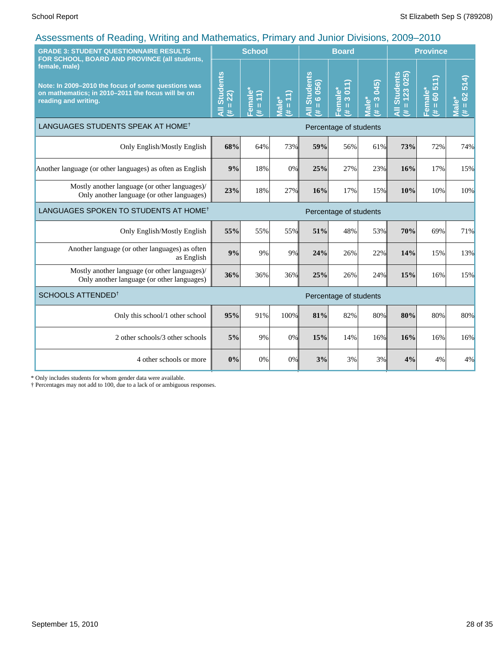| <b>GRADE 3: STUDENT QUESTIONNAIRE RESULTS</b><br>FOR SCHOOL, BOARD AND PROVINCE (all students,                                                   |                              | <b>School</b>                                                         |                   |                                      | <b>Board</b><br><b>Province</b>                                            |                                                   |                                 |                                                       |                                |
|--------------------------------------------------------------------------------------------------------------------------------------------------|------------------------------|-----------------------------------------------------------------------|-------------------|--------------------------------------|----------------------------------------------------------------------------|---------------------------------------------------|---------------------------------|-------------------------------------------------------|--------------------------------|
| female, male)<br>Note: In 2009-2010 the focus of some questions was<br>on mathematics; in 2010-2011 the focus will be on<br>reading and writing. | All Students<br>$= 22$<br>¥. | <sup>≔</sup> emale*<br>$\left  \widehat{\Xi} \right $<br>$\rm H$<br>共 | Male*<br>(# = 11) | <b>All Students</b><br>$= 6056$<br>共 | 011)<br>Female <sup>®</sup><br>$\overline{3}$<br>$\mathbf{H}$<br>$\ddot{}$ | $(2 + 5)$<br>$\frac{3}{2}$<br>Viale*<br>$\ddot{}$ | $= 123025$<br>All Students<br>共 | 511)<br>Female*<br>$\overline{6}$<br>$\mathbf H$<br># | $= 62514$<br><b>Male*</b><br>艺 |
| LANGUAGES STUDENTS SPEAK AT HOME <sup>†</sup>                                                                                                    | Percentage of students       |                                                                       |                   |                                      |                                                                            |                                                   |                                 |                                                       |                                |
| Only English/Mostly English                                                                                                                      | 68%                          | 64%                                                                   | 73%               | 59%                                  | 56%                                                                        | 61%                                               | 73%                             | 72%                                                   | 74%                            |
| Another language (or other languages) as often as English                                                                                        | 9%                           | 18%                                                                   | 0%                | 25%                                  | 27%                                                                        | 23%                                               | 16%                             | 17%                                                   | 15%                            |
| Mostly another language (or other languages)/<br>Only another language (or other languages)                                                      | 23%                          | 18%                                                                   | 27%               | 16%                                  | 17%                                                                        | 15%                                               | 10%                             | 10%                                                   | 10%                            |
| LANGUAGES SPOKEN TO STUDENTS AT HOME <sup>†</sup>                                                                                                |                              |                                                                       |                   |                                      | Percentage of students                                                     |                                                   |                                 |                                                       |                                |
| Only English/Mostly English                                                                                                                      | 55%                          | 55%                                                                   | 55%               | 51%                                  | 48%                                                                        | 53%                                               | 70%                             | 69%                                                   | 71%                            |
| Another language (or other languages) as often<br>as English                                                                                     | 9%                           | 9%                                                                    | 9%                | 24%                                  | 26%                                                                        | 22%                                               | 14%                             | 15%                                                   | 13%                            |
| Mostly another language (or other languages)/<br>Only another language (or other languages)                                                      | 36%                          | 36%                                                                   | 36%               | 25%                                  | 26%                                                                        | 24%                                               | 15%                             | 16%                                                   | 15%                            |
| SCHOOLS ATTENDED <sup>1</sup>                                                                                                                    |                              |                                                                       |                   |                                      | Percentage of students                                                     |                                                   |                                 |                                                       |                                |
| Only this school/1 other school                                                                                                                  | 95%                          | 91%                                                                   | 100%              | 81%                                  | 82%                                                                        | 80%                                               | 80%                             | 80%                                                   | 80%                            |
| 2 other schools/3 other schools                                                                                                                  | 5%                           | 9%                                                                    | 0%                | 15%                                  | 14%                                                                        | 16%                                               | 16%                             | 16%                                                   | 16%                            |
| 4 other schools or more                                                                                                                          | 0%                           | 0%                                                                    | 0%                | 3%                                   | 3%                                                                         | 3%                                                | 4%                              | 4%                                                    | 4%                             |

\* Only includes students for whom gender data were available.

† Percentages may not add to 100, due to a lack of or ambiguous responses.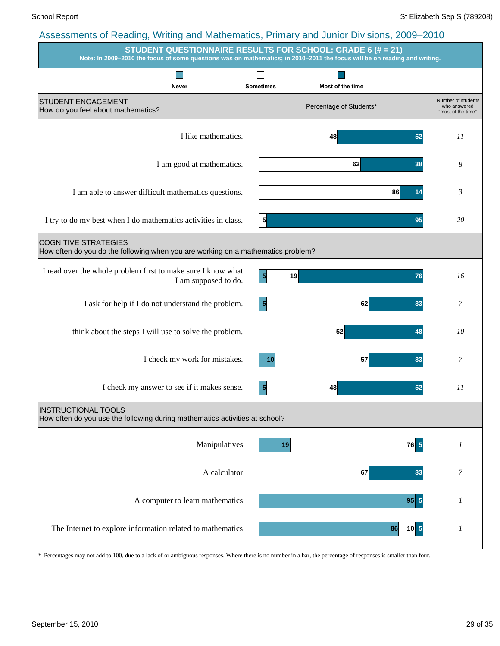|                                                                                                                 | $\ldots$ $\ldots$ $\ldots$ $\ldots$ $\ldots$ $\ldots$ $\ldots$ $\ldots$ $\ldots$ $\ldots$ $\ldots$ $\ldots$ $\ldots$ $\ldots$<br><b>STUDENT QUESTIONNAIRE RESULTS FOR SCHOOL: GRADE 6 (# = 21)</b><br>Note: In 2009-2010 the focus of some questions was on mathematics; in 2010-2011 the focus will be on reading and writing. |                                                          |
|-----------------------------------------------------------------------------------------------------------------|---------------------------------------------------------------------------------------------------------------------------------------------------------------------------------------------------------------------------------------------------------------------------------------------------------------------------------|----------------------------------------------------------|
|                                                                                                                 |                                                                                                                                                                                                                                                                                                                                 |                                                          |
| Never<br><b>STUDENT ENGAGEMENT</b><br>How do you feel about mathematics?                                        | <b>Sometimes</b><br>Most of the time<br>Percentage of Students*                                                                                                                                                                                                                                                                 | Number of students<br>who answered<br>"most of the time" |
| I like mathematics.                                                                                             | 48<br>52                                                                                                                                                                                                                                                                                                                        | 11                                                       |
| I am good at mathematics.                                                                                       | 62<br>38                                                                                                                                                                                                                                                                                                                        | 8                                                        |
| I am able to answer difficult mathematics questions.                                                            | 86<br>14                                                                                                                                                                                                                                                                                                                        | 3                                                        |
| I try to do my best when I do mathematics activities in class.                                                  | $\frac{5}{3}$<br>95                                                                                                                                                                                                                                                                                                             | 20                                                       |
| <b>COGNITIVE STRATEGIES</b><br>How often do you do the following when you are working on a mathematics problem? |                                                                                                                                                                                                                                                                                                                                 |                                                          |
| I read over the whole problem first to make sure I know what<br>I am supposed to do.                            | $\vert 5 \vert$<br>19<br>76                                                                                                                                                                                                                                                                                                     | 16                                                       |
| I ask for help if I do not understand the problem.                                                              | $\vert 5 \vert$<br>62<br>33                                                                                                                                                                                                                                                                                                     | 7                                                        |
| I think about the steps I will use to solve the problem.                                                        | 52<br>48                                                                                                                                                                                                                                                                                                                        | 10                                                       |
| I check my work for mistakes.                                                                                   | 57<br>33<br>10 <sub>l</sub>                                                                                                                                                                                                                                                                                                     | 7                                                        |
| I check my answer to see if it makes sense.                                                                     | 43<br>$\vert 5 \vert$<br>52                                                                                                                                                                                                                                                                                                     | II                                                       |
| <b>INSTRUCTIONAL TOOLS</b><br>How often do you use the following during mathematics activities at school?       |                                                                                                                                                                                                                                                                                                                                 |                                                          |
| Manipulatives                                                                                                   | $76$ 5<br>19                                                                                                                                                                                                                                                                                                                    | 1                                                        |
| A calculator                                                                                                    | 67<br>33                                                                                                                                                                                                                                                                                                                        | $\boldsymbol{7}$                                         |
| A computer to learn mathematics                                                                                 | $95 \vert 5 \vert$                                                                                                                                                                                                                                                                                                              | 1                                                        |
| The Internet to explore information related to mathematics                                                      | $10$ 5<br>86                                                                                                                                                                                                                                                                                                                    | 1                                                        |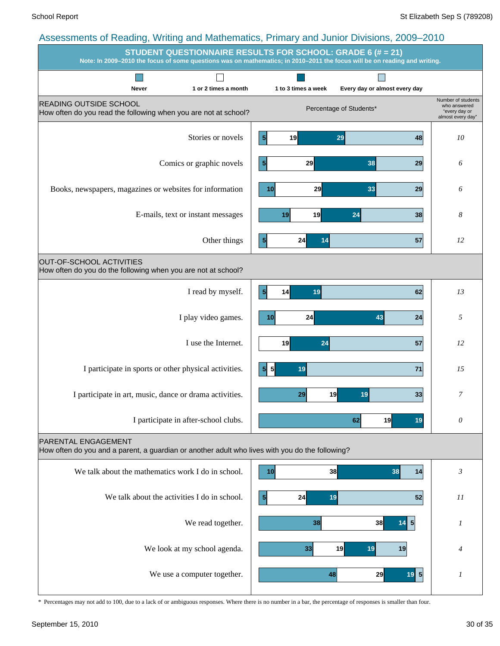### School Report St Elizabeth Sep S (789208) Assessments of Reading, Writing and Mathematics, Primary and Junior Divisions, 2009–2010 **STUDENT QUESTIONNAIRE RESULTS FOR SCHOOL: GRADE 6 (# = 21) Note: In 2009–2010 the focus of some questions was on mathematics; in 2010–2011 the focus will be on reading and writing. Tall**  $\Box$  $\Box$ **Never 1 or 2 times a month 1 to 3 times a week Every day or almost every day** Number of students READING OUTSIDE SCHOOL who answered Percentage of Students\* How often do you read the following when you are not at school? "every day or almost every day" Stories or novels **10 19 19 29 19 19 10 48 10 5 19 29 48** Comics or graphic novels *6* **5 29 38 29** Books, newspapers, magazines or websites for information *6* **10 29 33 29** E-mails, text or instant messages *8* **19 19 24 38**

PARENTAL ENGAGEMENT

OUT-OF-SCHOOL ACTIVITIES

How often do you do the following when you are not at school?

How often do you and a parent, a guardian or another adult who lives with you do the following?



I participate in sports or other physical activities. *15*

I participate in after-school clubs. *0*

I participate in art, music, dance or drama activities. *7*

I read by myself. **13 14 19 11 19 12 13** 

Other things **12 14 14 14 15 12 12** 

**5 24 14 57**

**5 14 19 62**

**10 24 43 24**

**5 5 19 71**

**19 24 57**

**29 19 19 33**

**62 19 19**

I play video games. **10 10 24 10 24 10 24 1 24 1 24 1** 

I use the Internet. **19 19 19 12 12 12 12**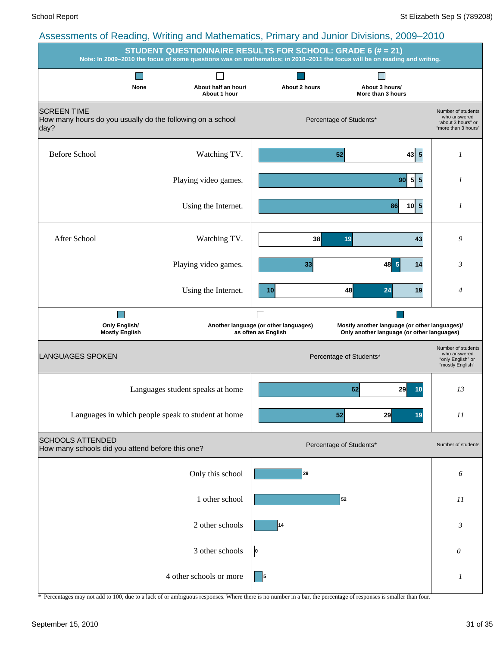|                                                                                          | STUDENT QUESTIONNAIRE RESULTS FOR SCHOOL: GRADE 6 (# = 21) |                                                              | Note: In 2009-2010 the focus of some questions was on mathematics; in 2010-2011 the focus will be on reading and writing. |                                                                                 |
|------------------------------------------------------------------------------------------|------------------------------------------------------------|--------------------------------------------------------------|---------------------------------------------------------------------------------------------------------------------------|---------------------------------------------------------------------------------|
| None                                                                                     | About half an hour/<br>About 1 hour                        | About 2 hours                                                | About 3 hours/<br>More than 3 hours                                                                                       |                                                                                 |
| <b>SCREEN TIME</b><br>How many hours do you usually do the following on a school<br>day? |                                                            |                                                              | Percentage of Students*                                                                                                   | Number of students<br>who answered<br>"about 3 hours" or<br>"more than 3 hours" |
| <b>Before School</b>                                                                     | Watching TV.                                               |                                                              | $43 \mid 5$<br>52                                                                                                         | 1                                                                               |
|                                                                                          | Playing video games.                                       |                                                              | 5 5 <br>90 <sup>1</sup>                                                                                                   | 1                                                                               |
|                                                                                          | Using the Internet.                                        |                                                              | $\overline{\mathbf{5}}$<br>86<br>10 <sup>1</sup>                                                                          | 1                                                                               |
| After School                                                                             | Watching TV.                                               | 38                                                           | 19<br>43                                                                                                                  | 9                                                                               |
|                                                                                          | Playing video games.                                       | 33                                                           | 5<br>48<br>14                                                                                                             | $\mathfrak{Z}$                                                                  |
|                                                                                          | Using the Internet.                                        | 10                                                           | 48<br>24<br>19                                                                                                            | $\overline{4}$                                                                  |
| <b>Only English/</b><br><b>Mostly English</b>                                            |                                                            | Another language (or other languages)<br>as often as English | Mostly another language (or other languages)/<br>Only another language (or other languages)                               |                                                                                 |
| <b>LANGUAGES SPOKEN</b>                                                                  |                                                            |                                                              | Percentage of Students*                                                                                                   | Number of students<br>who answered<br>"only English" or<br>"mostly English"     |
|                                                                                          | Languages student speaks at home                           |                                                              | 62<br>29<br>10                                                                                                            | 13                                                                              |
|                                                                                          | Languages in which people speak to student at home         |                                                              | 52<br>29<br>19                                                                                                            | 11                                                                              |
| <b>SCHOOLS ATTENDED</b><br>How many schools did you attend before this one?              |                                                            |                                                              | Percentage of Students*                                                                                                   | Number of students                                                              |
|                                                                                          | Only this school                                           | 29                                                           |                                                                                                                           | 6                                                                               |
|                                                                                          | 1 other school                                             |                                                              | 52                                                                                                                        | 11                                                                              |
|                                                                                          | 2 other schools                                            | 14                                                           |                                                                                                                           | $\mathfrak{Z}$                                                                  |
|                                                                                          | 3 other schools                                            | O                                                            |                                                                                                                           | 0                                                                               |
|                                                                                          | 4 other schools or more                                    | 5                                                            |                                                                                                                           | 1                                                                               |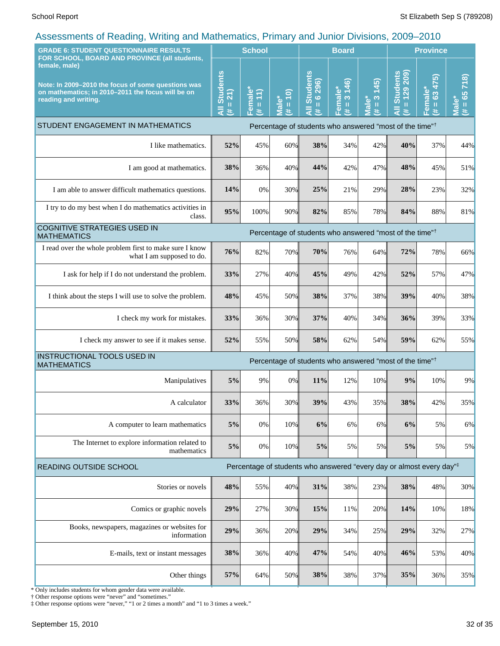| <b>GRADE 6: STUDENT QUESTIONNAIRE RESULTS</b><br>FOR SCHOOL, BOARD AND PROVINCE (all students,                                                   |                                                                     | <b>School</b>       |                               |                                               | <b>Board</b>                               |                                      | <b>Province</b>                                           |                                                            |                                     |
|--------------------------------------------------------------------------------------------------------------------------------------------------|---------------------------------------------------------------------|---------------------|-------------------------------|-----------------------------------------------|--------------------------------------------|--------------------------------------|-----------------------------------------------------------|------------------------------------------------------------|-------------------------------------|
| female, male)<br>Note: In 2009-2010 the focus of some questions was<br>on mathematics; in 2010-2011 the focus will be on<br>reading and writing. | <b>Students</b><br>$= 21$<br>ä<br>进                                 | Female*<br>(# = 11) | $(01 =$<br><b>Male*</b><br>y. | <b>Students</b><br>$= 6296$<br>$\bar{a}$<br>进 | 146)<br>Female*<br>$\infty$<br>$\,$ H<br>违 | (245)<br>$\frac{3}{2}$<br>Male*<br>进 | 209)<br><b>Students</b><br>$= 129$<br>$\overline{a}$<br>共 | 475)<br>Female*<br>$\overline{\mathbf{63}}$<br>$\,$ H<br>进 | 718)<br>$= 65$<br><b>Male*</b><br>进 |
| STUDENT ENGAGEMENT IN MATHEMATICS<br>Percentage of students who answered "most of the time" <sup>†</sup>                                         |                                                                     |                     |                               |                                               |                                            |                                      |                                                           |                                                            |                                     |
| I like mathematics.                                                                                                                              | 52%                                                                 | 45%                 | 60%                           | 38%                                           | 34%                                        | 42%                                  | 40%                                                       | 37%                                                        | 44%                                 |
| I am good at mathematics.                                                                                                                        | 38%                                                                 | 36%                 | 40%                           | 44%                                           | 42%                                        | 47%                                  | 48%                                                       | 45%                                                        | 51%                                 |
| I am able to answer difficult mathematics questions.                                                                                             | 14%                                                                 | 0%                  | 30%                           | 25%                                           | 21%                                        | 29%                                  | 28%                                                       | 23%                                                        | 32%                                 |
| I try to do my best when I do mathematics activities in<br>class.                                                                                | 95%                                                                 | 100%                | 90%                           | 82%                                           | 85%                                        | 78%                                  | 84%                                                       | 88%                                                        | 81%                                 |
| COGNITIVE STRATEGIES USED IN<br>Percentage of students who answered "most of the time" <sup>†</sup><br><b>MATHEMATICS</b>                        |                                                                     |                     |                               |                                               |                                            |                                      |                                                           |                                                            |                                     |
| I read over the whole problem first to make sure I know<br>what I am supposed to do.                                                             | 76%                                                                 | 82%                 | 70%                           | 70%                                           | 76%                                        | 64%                                  | 72%                                                       | 78%                                                        | 66%                                 |
| I ask for help if I do not understand the problem.                                                                                               | 33%                                                                 | 27%                 | 40%                           | 45%                                           | 49%                                        | 42%                                  | 52%                                                       | 57%                                                        | 47%                                 |
| I think about the steps I will use to solve the problem.                                                                                         | 48%                                                                 | 45%                 | 50%                           | 38%                                           | 37%                                        | 38%                                  | 39%                                                       | 40%                                                        | 38%                                 |
| I check my work for mistakes.                                                                                                                    | 33%                                                                 | 36%                 | 30%                           | 37%                                           | 40%                                        | 34%                                  | 36%                                                       | 39%                                                        | 33%                                 |
| I check my answer to see if it makes sense.                                                                                                      | 52%                                                                 | 55%                 | 50%                           | 58%                                           | 62%                                        | 54%                                  | 59%                                                       | 62%                                                        | 55%                                 |
| INSTRUCTIONAL TOOLS USED IN<br><b>MATHEMATICS</b>                                                                                                | Percentage of students who answered "most of the time" <sup>†</sup> |                     |                               |                                               |                                            |                                      |                                                           |                                                            |                                     |
| Manipulatives                                                                                                                                    | 5%                                                                  | 9%                  | 0%                            | 11%                                           | 12%                                        | 10%                                  | 9%                                                        | 10%                                                        | 9%                                  |
| A calculator                                                                                                                                     | 33%                                                                 | 36%                 | <b>30%</b>                    | 39%                                           | 43%                                        | 35%                                  | 38%                                                       | 42%                                                        | 35%                                 |
| A computer to learn mathematics                                                                                                                  | 5%                                                                  | 0%                  | 10%                           | 6%                                            | 6%                                         | 6%                                   | 6%                                                        | 5%                                                         | 6%                                  |
| The Internet to explore information related to<br>mathematics                                                                                    | 5%                                                                  | 0%                  | 10%                           | 5%                                            | 5%                                         | 5%                                   | 5%                                                        | 5%                                                         | 5%                                  |
| Percentage of students who answered "every day or almost every day" <sup>‡</sup><br>READING OUTSIDE SCHOOL                                       |                                                                     |                     |                               |                                               |                                            |                                      |                                                           |                                                            |                                     |
| Stories or novels                                                                                                                                | 48%                                                                 | 55%                 | 40%                           | 31%                                           | 38%                                        | 23%                                  | 38%                                                       | 48%                                                        | 30%                                 |
| Comics or graphic novels                                                                                                                         | 29%                                                                 | 27%                 | 30%                           | 15%                                           | 11%                                        | 20%                                  | 14%                                                       | 10%                                                        | 18%                                 |
| Books, newspapers, magazines or websites for<br>information                                                                                      | 29%                                                                 | 36%                 | 20%                           | 29%                                           | 34%                                        | 25%                                  | 29%                                                       | 32%                                                        | 27%                                 |
| E-mails, text or instant messages                                                                                                                | 38%                                                                 | 36%                 | 40%                           | 47%                                           | 54%                                        | 40%                                  | 46%                                                       | 53%                                                        | 40%                                 |
| Other things                                                                                                                                     | 57%                                                                 | 64%                 | 50%                           | 38%                                           | 38%                                        | 37%                                  | 35%                                                       | 36%                                                        | 35%                                 |

\* Only includes students for whom gender data were available.

† Other response options were "never" and "sometimes."

‡ Other response options were "never," "1 or 2 times a month" and "1 to 3 times a week."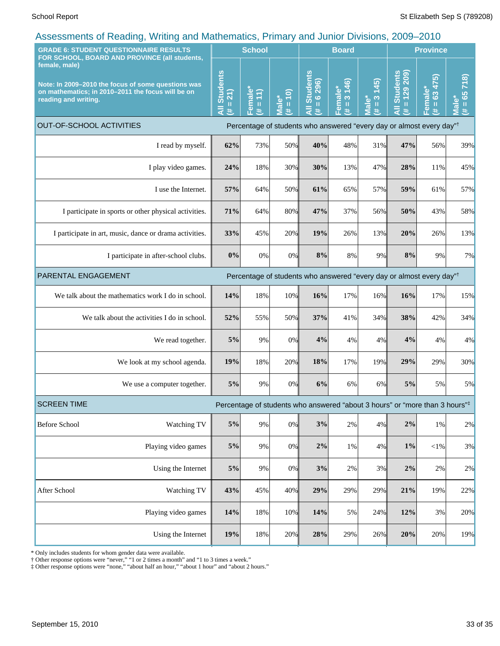| <b>GRADE 6: STUDENT QUESTIONNAIRE RESULTS</b>                                                                                                                                                     |                                                                                                                                                                                                           | <b>School</b>                    |                             |                                                                                  | <b>Board</b>                            |                                                                           | <b>Province</b>                 |                                       |                                    |
|---------------------------------------------------------------------------------------------------------------------------------------------------------------------------------------------------|-----------------------------------------------------------------------------------------------------------------------------------------------------------------------------------------------------------|----------------------------------|-----------------------------|----------------------------------------------------------------------------------|-----------------------------------------|---------------------------------------------------------------------------|---------------------------------|---------------------------------------|------------------------------------|
| FOR SCHOOL, BOARD AND PROVINCE (all students,<br>female, male)<br>Note: In 2009-2010 the focus of some questions was<br>on mathematics; in 2010-2011 the focus will be on<br>reading and writing. | <b>Students</b><br>21)<br>$\mathbf{H}% =\mathbf{H}^{T}\mathbf{v}^{T}\mathbf{v}^{T}\mathbf{v}^{T}+\mathbf{H}^{T}\mathbf{v}^{T}\mathbf{v}^{T}+\mathbf{H}^{T}\mathbf{v}^{T}\mathbf{v}^{T}$<br>$\bar{a}$<br>进 | Female<br>$\vert$<br>$\,$ H<br>进 | $= 10$<br><b>Male*</b><br>进 | <b>Students</b><br>296)<br>$\frac{6}{1}$<br>Ę<br>进                               | 146)<br>Female*<br>$(\sharp = 3 \; 14)$ | (245)<br>$\boldsymbol{\infty}$<br><sup>*</sup> ∍lale<br>$\mathbf{u}$<br>违 | All Students<br>$= 129209$<br>共 | 63 475)<br>Female*<br>$\sharp = 63$ 4 | 718<br>$= 65$<br><b>Male*</b><br>违 |
| <b>OUT-OF-SCHOOL ACTIVITIES</b>                                                                                                                                                                   |                                                                                                                                                                                                           |                                  |                             | Percentage of students who answered "every day or almost every day" <sup>†</sup> |                                         |                                                                           |                                 |                                       |                                    |
| I read by myself.                                                                                                                                                                                 | 62%                                                                                                                                                                                                       | 73%                              | 50%                         | 40%                                                                              | 48%                                     | 31%                                                                       | 47%                             | 56%                                   | 39%                                |
| I play video games.                                                                                                                                                                               | 24%                                                                                                                                                                                                       | 18%                              | 30%                         | 30%                                                                              | 13%                                     | 47%                                                                       | 28%                             | 11%                                   | 45%                                |
| I use the Internet.                                                                                                                                                                               | 57%                                                                                                                                                                                                       | 64%                              | 50%                         | 61%                                                                              | 65%                                     | 57%                                                                       | 59%                             | 61%                                   | 57%                                |
| I participate in sports or other physical activities.                                                                                                                                             | 71%                                                                                                                                                                                                       | 64%                              | 80%                         | 47%                                                                              | 37%                                     | 56%                                                                       | 50%                             | 43%                                   | 58%                                |
| I participate in art, music, dance or drama activities.                                                                                                                                           | 33%                                                                                                                                                                                                       | 45%                              | 20%                         | 19%                                                                              | 26%                                     | 13%                                                                       | 20%                             | 26%                                   | 13%                                |
| I participate in after-school clubs.                                                                                                                                                              |                                                                                                                                                                                                           | 0%<br>0%                         | 0%                          | 8%                                                                               | 8%                                      | 9%                                                                        | 8%                              | 9%                                    | 7%                                 |
| PARENTAL ENGAGEMENT<br>Percentage of students who answered "every day or almost every day" <sup>†</sup>                                                                                           |                                                                                                                                                                                                           |                                  |                             |                                                                                  |                                         |                                                                           |                                 |                                       |                                    |
| We talk about the mathematics work I do in school.                                                                                                                                                | 14%                                                                                                                                                                                                       | 18%                              | 10%                         | 16%                                                                              | 17%                                     | 16%                                                                       | 16%                             | 17%                                   | 15%                                |
| We talk about the activities I do in school.                                                                                                                                                      | 52%                                                                                                                                                                                                       | 55%                              | 50%                         | 37%                                                                              | 41%                                     | 34%                                                                       | 38%                             | 42%                                   | 34%                                |
| We read together.                                                                                                                                                                                 | 5%                                                                                                                                                                                                        | 9%                               | 0%                          | 4%                                                                               | 4%                                      | 4%                                                                        | 4%                              | 4%                                    | 4%                                 |
| We look at my school agenda.                                                                                                                                                                      |                                                                                                                                                                                                           | 19%<br>18%                       | 20%                         | 18%                                                                              | 17%                                     | 19%                                                                       | 29%                             | 29%                                   | 30%                                |
| We use a computer together.                                                                                                                                                                       | 5%                                                                                                                                                                                                        | 9%                               | 0%                          | 6%                                                                               | 6%                                      | 6%                                                                        | 5%                              | 5%                                    | 5%                                 |
| <b>SCREEN TIME</b><br>Percentage of students who answered "about 3 hours" or "more than 3 hours" <sup>‡</sup>                                                                                     |                                                                                                                                                                                                           |                                  |                             |                                                                                  |                                         |                                                                           |                                 |                                       |                                    |
| <b>Before School</b><br>Watching TV                                                                                                                                                               | 5%                                                                                                                                                                                                        | $9\%$                            | 0%                          | 3%                                                                               | $2\%$                                   | 4%                                                                        | $2\%$                           | $1\%$                                 | 2%                                 |
| Playing video games                                                                                                                                                                               | $5\%$                                                                                                                                                                                                     | 9%                               | $0\%$                       | $2\%$                                                                            | 1%                                      | 4%                                                                        | $1\%$                           | ${<}1\%$                              | 3%                                 |
| Using the Internet                                                                                                                                                                                | $5\%$                                                                                                                                                                                                     | 9%                               | $0\%$                       | 3%                                                                               | $2\%$                                   | 3%                                                                        | $2\%$                           | 2%                                    | 2%                                 |
| After School<br>Watching TV                                                                                                                                                                       | 43%                                                                                                                                                                                                       | 45%                              | 40%                         | 29%                                                                              | 29%                                     | 29%                                                                       | 21%                             | 19%                                   | 22%                                |
| Playing video games                                                                                                                                                                               | 14%                                                                                                                                                                                                       | 18%                              | 10%                         | 14%                                                                              | 5%                                      | 24%                                                                       | 12%                             | 3%                                    | 20%                                |
| Using the Internet                                                                                                                                                                                |                                                                                                                                                                                                           | 19%<br>18%                       | 20%                         | 28%                                                                              | 29%                                     | 26%                                                                       | 20%                             | 20%                                   | 19%                                |

\* Only includes students for whom gender data were available.

† Other response options were "never," "1 or 2 times a month" and "1 to 3 times a week."

‡ Other response options were "none," "about half an hour," "about 1 hour" and "about 2 hours."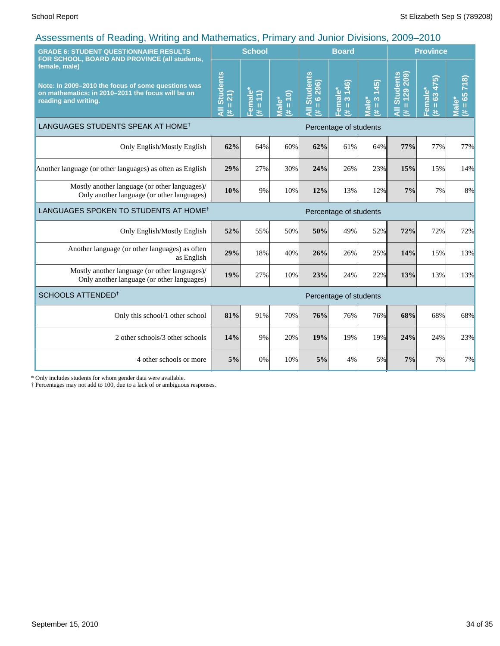| <b>GRADE 6: STUDENT QUESTIONNAIRE RESULTS</b><br>FOR SCHOOL, BOARD AND PROVINCE (all students,                                                   |                                     | <b>School</b>                                |                     | <b>Board</b>                                      |                                                              |                                                     | <b>Province</b>                      |                                                       |                                     |
|--------------------------------------------------------------------------------------------------------------------------------------------------|-------------------------------------|----------------------------------------------|---------------------|---------------------------------------------------|--------------------------------------------------------------|-----------------------------------------------------|--------------------------------------|-------------------------------------------------------|-------------------------------------|
| female, male)<br>Note: In 2009-2010 the focus of some questions was<br>on mathematics; in 2010-2011 the focus will be on<br>reading and writing. | <b>All Students</b><br>$= 21$<br>y. | Female <sup>®</sup><br>E<br>$\mathbf I$<br>共 | $(01 = #)$<br>Male* | <b>All Students</b><br>296)<br>$\frac{6}{1}$<br>共 | 146)<br>Eemale <sup>®</sup><br>$\infty$<br>$\mathbf{H}$<br># | (45)<br><b>Viale*</b><br>$\frac{3}{2}$<br>$\ddot{}$ | 209)<br>All Students<br>$= 129$<br>共 | 475)<br>Female*<br>$\mathbf{c}^3$<br>$\mathbf H$<br># | 718)<br>$= 65$<br><b>Male*</b><br>艺 |
| LANGUAGES STUDENTS SPEAK AT HOME <sup>†</sup>                                                                                                    | Percentage of students              |                                              |                     |                                                   |                                                              |                                                     |                                      |                                                       |                                     |
| Only English/Mostly English                                                                                                                      | 62%                                 | 64%                                          | 60%                 | 62%                                               | 61%                                                          | 64%                                                 | 77%                                  | 77%                                                   | 77%                                 |
| Another language (or other languages) as often as English                                                                                        | 29%                                 | 27%                                          | 30%                 | 24%                                               | 26%                                                          | 23%                                                 | 15%                                  | 15%                                                   | 14%                                 |
| Mostly another language (or other languages)/<br>Only another language (or other languages)                                                      | 10%                                 | 9%                                           | 10%                 | 12%                                               | 13%                                                          | 12%                                                 | 7%                                   | 7%                                                    | 8%                                  |
| LANGUAGES SPOKEN TO STUDENTS AT HOME <sup>†</sup>                                                                                                | Percentage of students              |                                              |                     |                                                   |                                                              |                                                     |                                      |                                                       |                                     |
| Only English/Mostly English                                                                                                                      | 52%                                 | 55%                                          | 50%                 | 50%                                               | 49%                                                          | 52%                                                 | 72%                                  | 72%                                                   | 72%                                 |
| Another language (or other languages) as often<br>as English                                                                                     | 29%                                 | 18%                                          | 40%                 | 26%                                               | 26%                                                          | 25%                                                 | 14%                                  | 15%                                                   | 13%                                 |
| Mostly another language (or other languages)/<br>Only another language (or other languages)                                                      | 19%                                 | 27%                                          | 10%                 | 23%                                               | 24%                                                          | 22%                                                 | 13%                                  | 13%                                                   | 13%                                 |
| SCHOOLS ATTENDED <sup>1</sup><br>Percentage of students                                                                                          |                                     |                                              |                     |                                                   |                                                              |                                                     |                                      |                                                       |                                     |
| Only this school/1 other school                                                                                                                  | 81%                                 | 91%                                          | 70%                 | 76%                                               | 76%                                                          | 76%                                                 | 68%                                  | 68%                                                   | 68%                                 |
| 2 other schools/3 other schools                                                                                                                  | 14%                                 | 9%                                           | 20%                 | 19%                                               | 19%                                                          | 19%                                                 | 24%                                  | 24%                                                   | 23%                                 |
| 4 other schools or more                                                                                                                          | 5%                                  | 0%                                           | 10%                 | 5%                                                | 4%                                                           | 5%                                                  | 7%                                   | 7%                                                    | 7%                                  |

\* Only includes students for whom gender data were available.

† Percentages may not add to 100, due to a lack of or ambiguous responses.